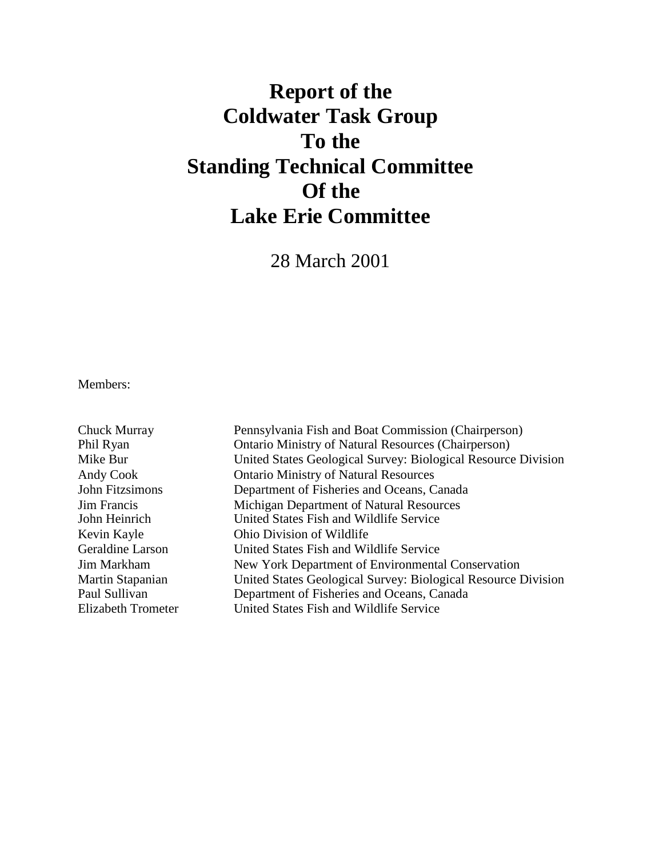# **Report of the Coldwater Task Group To the Standing Technical Committee Of the Lake Erie Committee**

28 March 2001

Members:

| Chuck Murray              | Pennsylvania Fish and Boat Commission (Chairperson)           |
|---------------------------|---------------------------------------------------------------|
| Phil Ryan                 | <b>Ontario Ministry of Natural Resources (Chairperson)</b>    |
| Mike Bur                  | United States Geological Survey: Biological Resource Division |
| Andy Cook                 | <b>Ontario Ministry of Natural Resources</b>                  |
| John Fitzsimons           | Department of Fisheries and Oceans, Canada                    |
| <b>Jim Francis</b>        | Michigan Department of Natural Resources                      |
| John Heinrich             | United States Fish and Wildlife Service                       |
| Kevin Kayle               | Ohio Division of Wildlife                                     |
| Geraldine Larson          | United States Fish and Wildlife Service                       |
| Jim Markham               | New York Department of Environmental Conservation             |
| Martin Stapanian          | United States Geological Survey: Biological Resource Division |
| Paul Sullivan             | Department of Fisheries and Oceans, Canada                    |
| <b>Elizabeth Trometer</b> | United States Fish and Wildlife Service                       |
|                           |                                                               |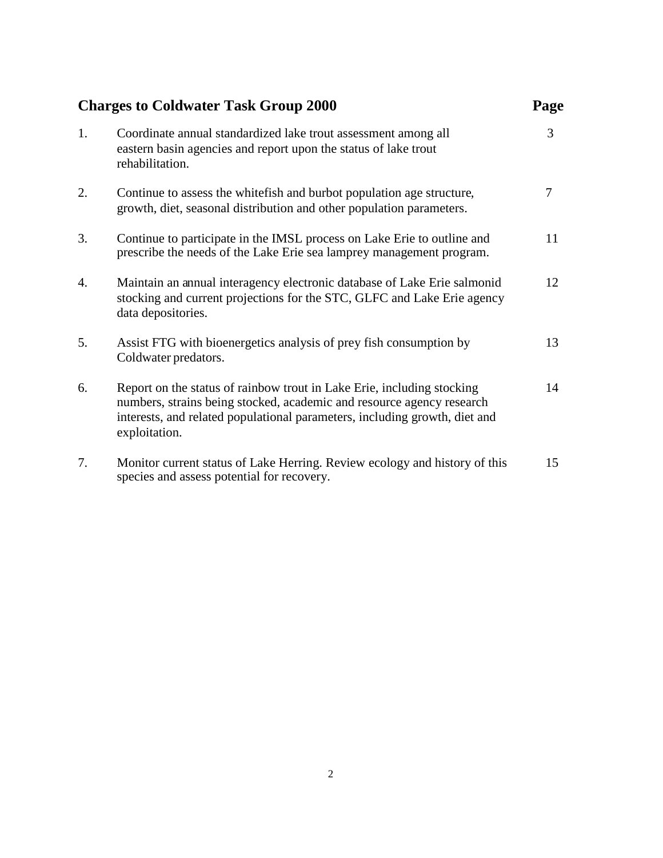|    | <b>Charges to Coldwater Task Group 2000</b>                                                                                                                                                                                                    | Page |
|----|------------------------------------------------------------------------------------------------------------------------------------------------------------------------------------------------------------------------------------------------|------|
| 1. | Coordinate annual standardized lake trout assessment among all<br>eastern basin agencies and report upon the status of lake trout<br>rehabilitation.                                                                                           | 3    |
| 2. | Continue to assess the white fish and burbot population age structure,<br>growth, diet, seasonal distribution and other population parameters.                                                                                                 | 7    |
| 3. | Continue to participate in the IMSL process on Lake Erie to outline and<br>prescribe the needs of the Lake Erie sea lamprey management program.                                                                                                | 11   |
| 4. | Maintain an annual interagency electronic database of Lake Erie salmonid<br>stocking and current projections for the STC, GLFC and Lake Erie agency<br>data depositories.                                                                      | 12   |
| 5. | Assist FTG with bioenergetics analysis of prey fish consumption by<br>Coldwater predators.                                                                                                                                                     | 13   |
| 6. | Report on the status of rainbow trout in Lake Erie, including stocking<br>numbers, strains being stocked, academic and resource agency research<br>interests, and related populational parameters, including growth, diet and<br>exploitation. | 14   |
| 7. | Monitor current status of Lake Herring. Review ecology and history of this<br>species and assess potential for recovery.                                                                                                                       | 15   |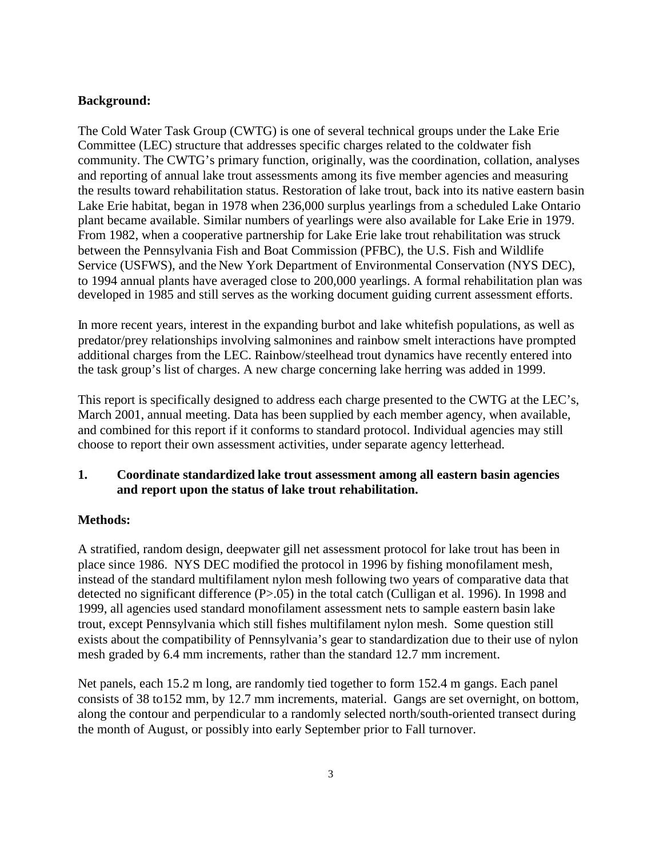# **Background:**

The Cold Water Task Group (CWTG) is one of several technical groups under the Lake Erie Committee (LEC) structure that addresses specific charges related to the coldwater fish community. The CWTG's primary function, originally, was the coordination, collation, analyses and reporting of annual lake trout assessments among its five member agencies and measuring the results toward rehabilitation status. Restoration of lake trout, back into its native eastern basin Lake Erie habitat, began in 1978 when 236,000 surplus yearlings from a scheduled Lake Ontario plant became available. Similar numbers of yearlings were also available for Lake Erie in 1979. From 1982, when a cooperative partnership for Lake Erie lake trout rehabilitation was struck between the Pennsylvania Fish and Boat Commission (PFBC), the U.S. Fish and Wildlife Service (USFWS), and the New York Department of Environmental Conservation (NYS DEC), to 1994 annual plants have averaged close to 200,000 yearlings. A formal rehabilitation plan was developed in 1985 and still serves as the working document guiding current assessment efforts.

In more recent years, interest in the expanding burbot and lake whitefish populations, as well as predator/prey relationships involving salmonines and rainbow smelt interactions have prompted additional charges from the LEC. Rainbow/steelhead trout dynamics have recently entered into the task group's list of charges. A new charge concerning lake herring was added in 1999.

This report is specifically designed to address each charge presented to the CWTG at the LEC's, March 2001, annual meeting. Data has been supplied by each member agency, when available, and combined for this report if it conforms to standard protocol. Individual agencies may still choose to report their own assessment activities, under separate agency letterhead.

# **1. Coordinate standardized lake trout assessment among all eastern basin agencies and report upon the status of lake trout rehabilitation.**

## **Methods:**

A stratified, random design, deepwater gill net assessment protocol for lake trout has been in place since 1986. NYS DEC modified the protocol in 1996 by fishing monofilament mesh, instead of the standard multifilament nylon mesh following two years of comparative data that detected no significant difference (P>.05) in the total catch (Culligan et al. 1996). In 1998 and 1999, all agencies used standard monofilament assessment nets to sample eastern basin lake trout, except Pennsylvania which still fishes multifilament nylon mesh. Some question still exists about the compatibility of Pennsylvania's gear to standardization due to their use of nylon mesh graded by 6.4 mm increments, rather than the standard 12.7 mm increment.

Net panels, each 15.2 m long, are randomly tied together to form 152.4 m gangs. Each panel consists of 38 to152 mm, by 12.7 mm increments, material. Gangs are set overnight, on bottom, along the contour and perpendicular to a randomly selected north/south-oriented transect during the month of August, or possibly into early September prior to Fall turnover.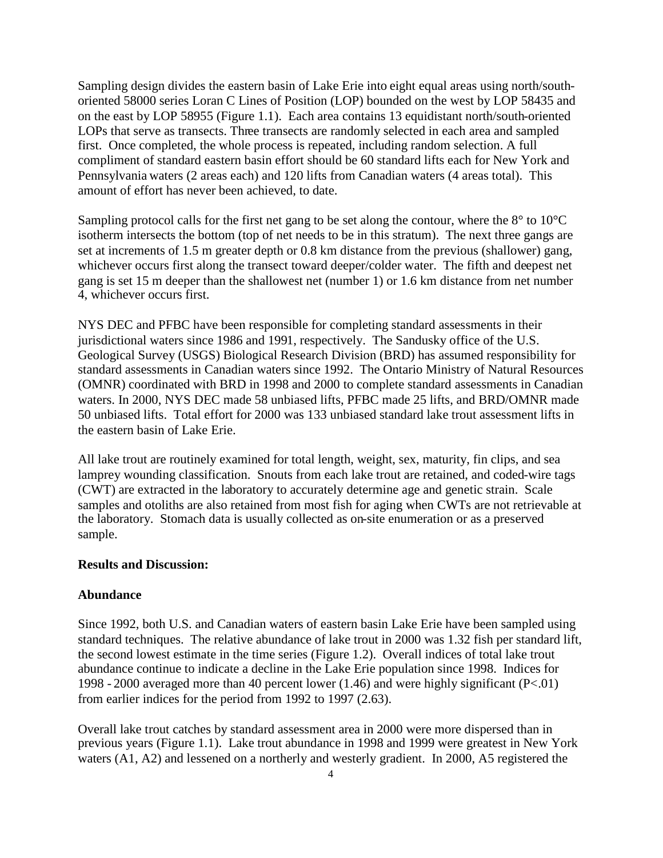Sampling design divides the eastern basin of Lake Erie into eight equal areas using north/southoriented 58000 series Loran C Lines of Position (LOP) bounded on the west by LOP 58435 and on the east by LOP 58955 (Figure 1.1). Each area contains 13 equidistant north/south-oriented LOPs that serve as transects. Three transects are randomly selected in each area and sampled first. Once completed, the whole process is repeated, including random selection. A full compliment of standard eastern basin effort should be 60 standard lifts each for New York and Pennsylvania waters (2 areas each) and 120 lifts from Canadian waters (4 areas total). This amount of effort has never been achieved, to date.

Sampling protocol calls for the first net gang to be set along the contour, where the 8° to 10°C isotherm intersects the bottom (top of net needs to be in this stratum). The next three gangs are set at increments of 1.5 m greater depth or 0.8 km distance from the previous (shallower) gang, whichever occurs first along the transect toward deeper/colder water. The fifth and deepest net gang is set 15 m deeper than the shallowest net (number 1) or 1.6 km distance from net number 4, whichever occurs first.

NYS DEC and PFBC have been responsible for completing standard assessments in their jurisdictional waters since 1986 and 1991, respectively. The Sandusky office of the U.S. Geological Survey (USGS) Biological Research Division (BRD) has assumed responsibility for standard assessments in Canadian waters since 1992. The Ontario Ministry of Natural Resources (OMNR) coordinated with BRD in 1998 and 2000 to complete standard assessments in Canadian waters. In 2000, NYS DEC made 58 unbiased lifts, PFBC made 25 lifts, and BRD/OMNR made 50 unbiased lifts. Total effort for 2000 was 133 unbiased standard lake trout assessment lifts in the eastern basin of Lake Erie.

All lake trout are routinely examined for total length, weight, sex, maturity, fin clips, and sea lamprey wounding classification. Snouts from each lake trout are retained, and coded-wire tags (CWT) are extracted in the laboratory to accurately determine age and genetic strain. Scale samples and otoliths are also retained from most fish for aging when CWTs are not retrievable at the laboratory. Stomach data is usually collected as on-site enumeration or as a preserved sample.

#### **Results and Discussion:**

#### **Abundance**

Since 1992, both U.S. and Canadian waters of eastern basin Lake Erie have been sampled using standard techniques. The relative abundance of lake trout in 2000 was 1.32 fish per standard lift, the second lowest estimate in the time series (Figure 1.2). Overall indices of total lake trout abundance continue to indicate a decline in the Lake Erie population since 1998. Indices for 1998 - 2000 averaged more than 40 percent lower (1.46) and were highly significant (P<.01) from earlier indices for the period from 1992 to 1997 (2.63).

Overall lake trout catches by standard assessment area in 2000 were more dispersed than in previous years (Figure 1.1). Lake trout abundance in 1998 and 1999 were greatest in New York waters (A1, A2) and lessened on a northerly and westerly gradient. In 2000, A5 registered the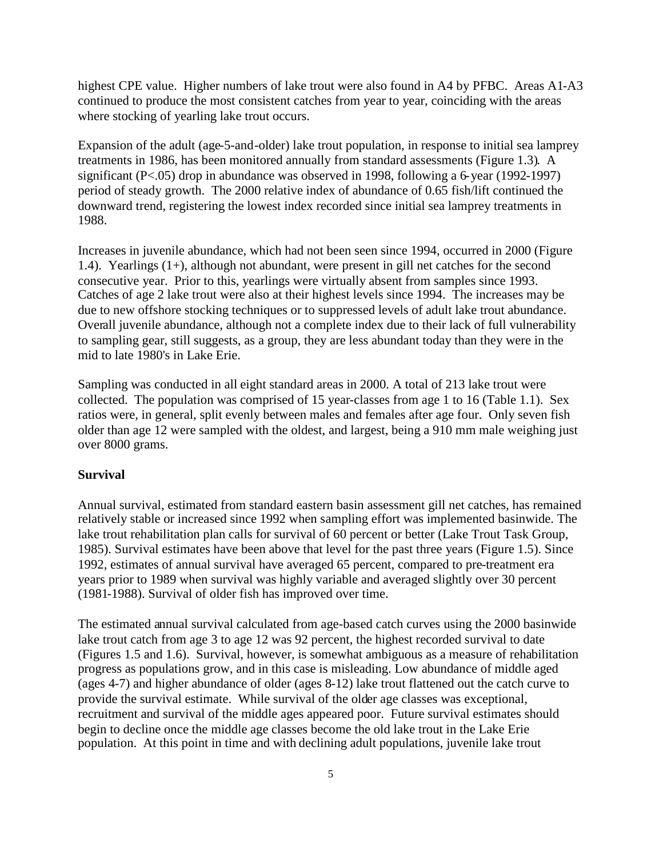highest CPE value. Higher numbers of lake trout were also found in A4 by PFBC. Areas A1-A3 continued to produce the most consistent catches from year to year, coinciding with the areas where stocking of yearling lake trout occurs.

Expansion of the adult (age-5-and-older) lake trout population, in response to initial sea lamprey treatments in 1986, has been monitored annually from standard assessments (Figure 1.3). A significant (P<.05) drop in abundance was observed in 1998, following a 6-year (1992-1997) period of steady growth. The 2000 relative index of abundance of 0.65 fish/lift continued the downward trend, registering the lowest index recorded since initial sea lamprey treatments in 1988.

Increases in juvenile abundance, which had not been seen since 1994, occurred in 2000 (Figure 1.4). Yearlings (1+), although not abundant, were present in gill net catches for the second consecutive year. Prior to this, yearlings were virtually absent from samples since 1993. Catches of age 2 lake trout were also at their highest levels since 1994. The increases may be due to new offshore stocking techniques or to suppressed levels of adult lake trout abundance. Overall juvenile abundance, although not a complete index due to their lack of full vulnerability to sampling gear, still suggests, as a group, they are less abundant today than they were in the mid to late 1980's in Lake Erie.

Sampling was conducted in all eight standard areas in 2000. A total of 213 lake trout were collected. The population was comprised of 15 year-classes from age 1 to 16 (Table 1.1). Sex ratios were, in general, split evenly between males and females after age four. Only seven fish older than age 12 were sampled with the oldest, and largest, being a 910 mm male weighing just over 8000 grams.

#### **Survival**

Annual survival, estimated from standard eastern basin assessment gill net catches, has remained relatively stable or increased since 1992 when sampling effort was implemented basinwide. The lake trout rehabilitation plan calls for survival of 60 percent or better (Lake Trout Task Group, 1985). Survival estimates have been above that level for the past three years (Figure 1.5). Since 1992, estimates of annual survival have averaged 65 percent, compared to pre-treatment era years prior to 1989 when survival was highly variable and averaged slightly over 30 percent (1981-1988). Survival of older fish has improved over time.

The estimated annual survival calculated from age-based catch curves using the 2000 basinwide lake trout catch from age 3 to age 12 was 92 percent, the highest recorded survival to date (Figures 1.5 and 1.6). Survival, however, is somewhat ambiguous as a measure of rehabilitation progress as populations grow, and in this case is misleading. Low abundance of middle aged (ages 4-7) and higher abundance of older (ages 8-12) lake trout flattened out the catch curve to provide the survival estimate. While survival of the older age classes was exceptional, recruitment and survival of the middle ages appeared poor. Future survival estimates should begin to decline once the middle age classes become the old lake trout in the Lake Erie population. At this point in time and with declining adult populations, juvenile lake trout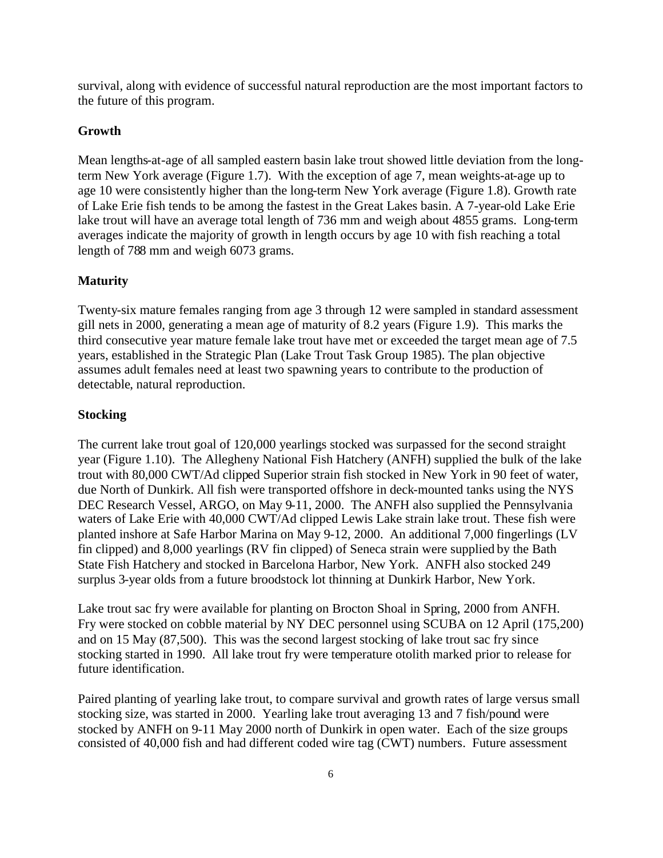survival, along with evidence of successful natural reproduction are the most important factors to the future of this program.

#### **Growth**

Mean lengths-at-age of all sampled eastern basin lake trout showed little deviation from the longterm New York average (Figure 1.7). With the exception of age 7, mean weights-at-age up to age 10 were consistently higher than the long-term New York average (Figure 1.8). Growth rate of Lake Erie fish tends to be among the fastest in the Great Lakes basin. A 7-year-old Lake Erie lake trout will have an average total length of 736 mm and weigh about 4855 grams. Long-term averages indicate the majority of growth in length occurs by age 10 with fish reaching a total length of 788 mm and weigh 6073 grams.

#### **Maturity**

Twenty-six mature females ranging from age 3 through 12 were sampled in standard assessment gill nets in 2000, generating a mean age of maturity of 8.2 years (Figure 1.9). This marks the third consecutive year mature female lake trout have met or exceeded the target mean age of 7.5 years, established in the Strategic Plan (Lake Trout Task Group 1985). The plan objective assumes adult females need at least two spawning years to contribute to the production of detectable, natural reproduction.

#### **Stocking**

The current lake trout goal of 120,000 yearlings stocked was surpassed for the second straight year (Figure 1.10). The Allegheny National Fish Hatchery (ANFH) supplied the bulk of the lake trout with 80,000 CWT/Ad clipped Superior strain fish stocked in New York in 90 feet of water, due North of Dunkirk. All fish were transported offshore in deck-mounted tanks using the NYS DEC Research Vessel, ARGO, on May 9-11, 2000. The ANFH also supplied the Pennsylvania waters of Lake Erie with 40,000 CWT/Ad clipped Lewis Lake strain lake trout. These fish were planted inshore at Safe Harbor Marina on May 9-12, 2000. An additional 7,000 fingerlings (LV fin clipped) and 8,000 yearlings (RV fin clipped) of Seneca strain were supplied by the Bath State Fish Hatchery and stocked in Barcelona Harbor, New York. ANFH also stocked 249 surplus 3-year olds from a future broodstock lot thinning at Dunkirk Harbor, New York.

Lake trout sac fry were available for planting on Brocton Shoal in Spring, 2000 from ANFH. Fry were stocked on cobble material by NY DEC personnel using SCUBA on 12 April (175,200) and on 15 May (87,500). This was the second largest stocking of lake trout sac fry since stocking started in 1990. All lake trout fry were temperature otolith marked prior to release for future identification.

Paired planting of yearling lake trout, to compare survival and growth rates of large versus small stocking size, was started in 2000. Yearling lake trout averaging 13 and 7 fish/pound were stocked by ANFH on 9-11 May 2000 north of Dunkirk in open water. Each of the size groups consisted of 40,000 fish and had different coded wire tag (CWT) numbers. Future assessment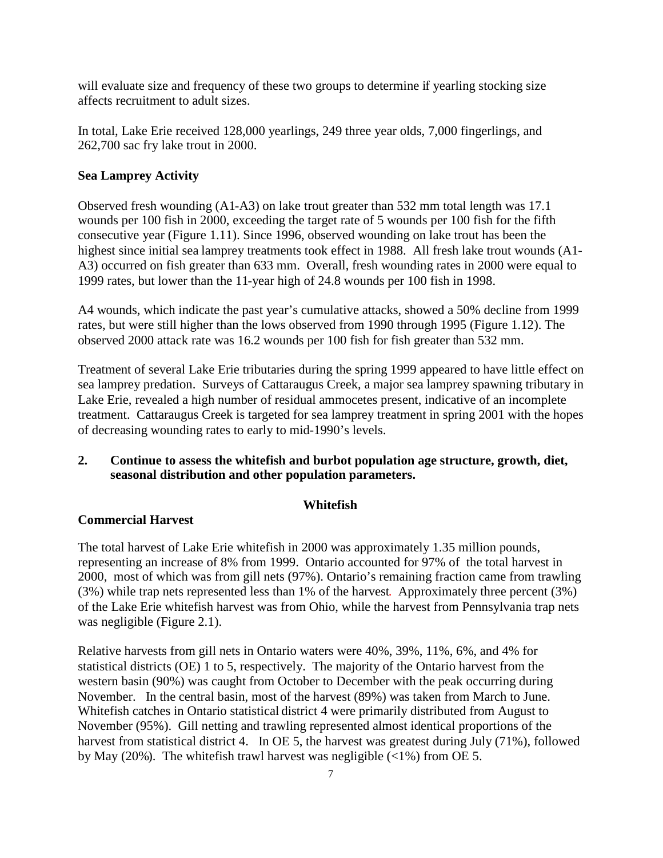will evaluate size and frequency of these two groups to determine if yearling stocking size affects recruitment to adult sizes.

In total, Lake Erie received 128,000 yearlings, 249 three year olds, 7,000 fingerlings, and 262,700 sac fry lake trout in 2000.

### **Sea Lamprey Activity**

Observed fresh wounding (A1-A3) on lake trout greater than 532 mm total length was 17.1 wounds per 100 fish in 2000, exceeding the target rate of 5 wounds per 100 fish for the fifth consecutive year (Figure 1.11). Since 1996, observed wounding on lake trout has been the highest since initial sea lamprey treatments took effect in 1988. All fresh lake trout wounds (A1- A3) occurred on fish greater than 633 mm. Overall, fresh wounding rates in 2000 were equal to 1999 rates, but lower than the 11-year high of 24.8 wounds per 100 fish in 1998.

A4 wounds, which indicate the past year's cumulative attacks, showed a 50% decline from 1999 rates, but were still higher than the lows observed from 1990 through 1995 (Figure 1.12). The observed 2000 attack rate was 16.2 wounds per 100 fish for fish greater than 532 mm.

Treatment of several Lake Erie tributaries during the spring 1999 appeared to have little effect on sea lamprey predation. Surveys of Cattaraugus Creek, a major sea lamprey spawning tributary in Lake Erie, revealed a high number of residual ammocetes present, indicative of an incomplete treatment. Cattaraugus Creek is targeted for sea lamprey treatment in spring 2001 with the hopes of decreasing wounding rates to early to mid-1990's levels.

## **2. Continue to assess the whitefish and burbot population age structure, growth, diet, seasonal distribution and other population parameters.**

#### **Whitefish**

## **Commercial Harvest**

The total harvest of Lake Erie whitefish in 2000 was approximately 1.35 million pounds, representing an increase of 8% from 1999. Ontario accounted for 97% of the total harvest in 2000, most of which was from gill nets (97%). Ontario's remaining fraction came from trawling (3%) while trap nets represented less than 1% of the harvest. Approximately three percent (3%) of the Lake Erie whitefish harvest was from Ohio, while the harvest from Pennsylvania trap nets was negligible (Figure 2.1).

Relative harvests from gill nets in Ontario waters were 40%, 39%, 11%, 6%, and 4% for statistical districts (OE) 1 to 5, respectively. The majority of the Ontario harvest from the western basin (90%) was caught from October to December with the peak occurring during November. In the central basin, most of the harvest (89%) was taken from March to June. Whitefish catches in Ontario statistical district 4 were primarily distributed from August to November (95%). Gill netting and trawling represented almost identical proportions of the harvest from statistical district 4. In OE 5, the harvest was greatest during July (71%), followed by May (20%). The whitefish trawl harvest was negligible (<1%) from OE 5.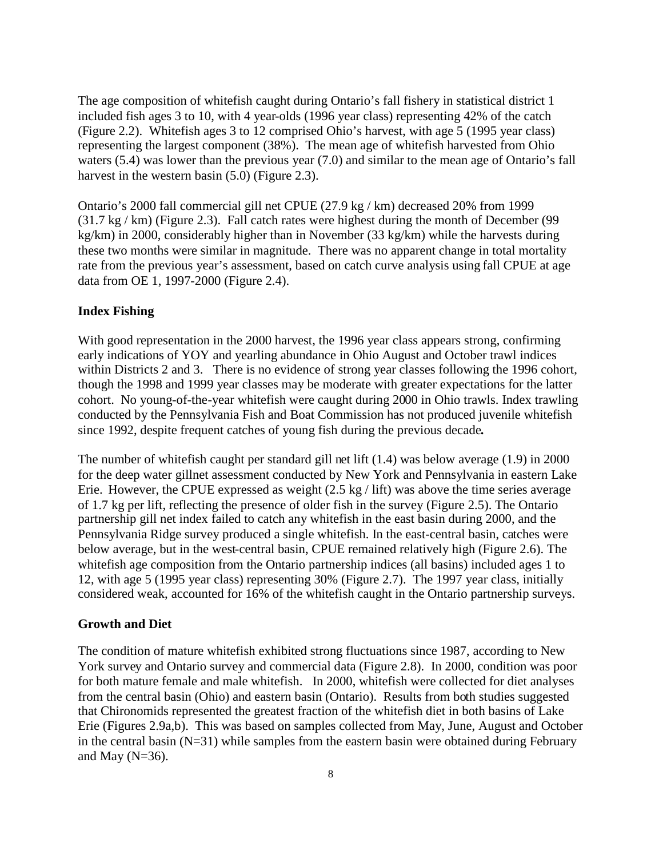The age composition of whitefish caught during Ontario's fall fishery in statistical district 1 included fish ages 3 to 10, with 4 year-olds (1996 year class) representing 42% of the catch (Figure 2.2). Whitefish ages 3 to 12 comprised Ohio's harvest, with age 5 (1995 year class) representing the largest component (38%). The mean age of whitefish harvested from Ohio waters (5.4) was lower than the previous year (7.0) and similar to the mean age of Ontario's fall harvest in the western basin (5.0) (Figure 2.3).

Ontario's 2000 fall commercial gill net CPUE (27.9 kg / km) decreased 20% from 1999 (31.7 kg / km) (Figure 2.3). Fall catch rates were highest during the month of December (99 kg/km) in 2000, considerably higher than in November (33 kg/km) while the harvests during these two months were similar in magnitude. There was no apparent change in total mortality rate from the previous year's assessment, based on catch curve analysis using fall CPUE at age data from OE 1, 1997-2000 (Figure 2.4).

#### **Index Fishing**

With good representation in the 2000 harvest, the 1996 year class appears strong, confirming early indications of YOY and yearling abundance in Ohio August and October trawl indices within Districts 2 and 3. There is no evidence of strong year classes following the 1996 cohort, though the 1998 and 1999 year classes may be moderate with greater expectations for the latter cohort. No young-of-the-year whitefish were caught during 2000 in Ohio trawls. Index trawling conducted by the Pennsylvania Fish and Boat Commission has not produced juvenile whitefish since 1992, despite frequent catches of young fish during the previous decade**.**

The number of whitefish caught per standard gill net lift (1.4) was below average (1.9) in 2000 for the deep water gillnet assessment conducted by New York and Pennsylvania in eastern Lake Erie. However, the CPUE expressed as weight (2.5 kg / lift) was above the time series average of 1.7 kg per lift, reflecting the presence of older fish in the survey (Figure 2.5). The Ontario partnership gill net index failed to catch any whitefish in the east basin during 2000, and the Pennsylvania Ridge survey produced a single whitefish. In the east-central basin, catches were below average, but in the west-central basin, CPUE remained relatively high (Figure 2.6). The whitefish age composition from the Ontario partnership indices (all basins) included ages 1 to 12, with age 5 (1995 year class) representing 30% (Figure 2.7). The 1997 year class, initially considered weak, accounted for 16% of the whitefish caught in the Ontario partnership surveys.

#### **Growth and Diet**

The condition of mature whitefish exhibited strong fluctuations since 1987, according to New York survey and Ontario survey and commercial data (Figure 2.8). In 2000, condition was poor for both mature female and male whitefish. In 2000, whitefish were collected for diet analyses from the central basin (Ohio) and eastern basin (Ontario). Results from both studies suggested that Chironomids represented the greatest fraction of the whitefish diet in both basins of Lake Erie (Figures 2.9a,b). This was based on samples collected from May, June, August and October in the central basin  $(N=31)$  while samples from the eastern basin were obtained during February and May  $(N=36)$ .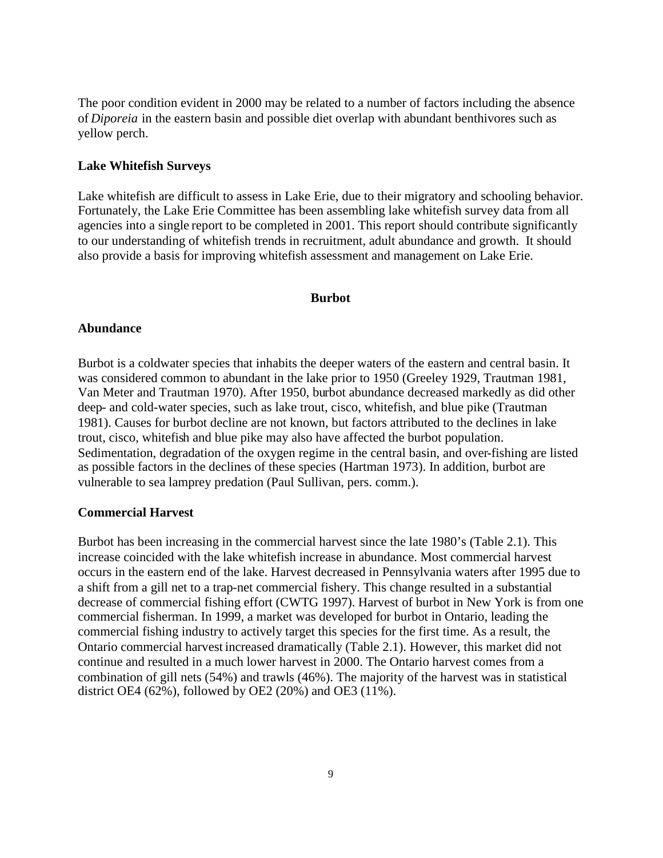The poor condition evident in 2000 may be related to a number of factors including the absence of *Diporeia* in the eastern basin and possible diet overlap with abundant benthivores such as yellow perch.

### **Lake Whitefish Surveys**

Lake whitefish are difficult to assess in Lake Erie, due to their migratory and schooling behavior. Fortunately, the Lake Erie Committee has been assembling lake whitefish survey data from all agencies into a single report to be completed in 2001. This report should contribute significantly to our understanding of whitefish trends in recruitment, adult abundance and growth. It should also provide a basis for improving whitefish assessment and management on Lake Erie.

#### **Burbot**

## **Abundance**

Burbot is a coldwater species that inhabits the deeper waters of the eastern and central basin. It was considered common to abundant in the lake prior to 1950 (Greeley 1929, Trautman 1981, Van Meter and Trautman 1970). After 1950, burbot abundance decreased markedly as did other deep- and cold-water species, such as lake trout, cisco, whitefish, and blue pike (Trautman 1981). Causes for burbot decline are not known, but factors attributed to the declines in lake trout, cisco, whitefish and blue pike may also have affected the burbot population. Sedimentation, degradation of the oxygen regime in the central basin, and over-fishing are listed as possible factors in the declines of these species (Hartman 1973). In addition, burbot are vulnerable to sea lamprey predation (Paul Sullivan, pers. comm.).

#### **Commercial Harvest**

Burbot has been increasing in the commercial harvest since the late 1980's (Table 2.1). This increase coincided with the lake whitefish increase in abundance. Most commercial harvest occurs in the eastern end of the lake. Harvest decreased in Pennsylvania waters after 1995 due to a shift from a gill net to a trap-net commercial fishery. This change resulted in a substantial decrease of commercial fishing effort (CWTG 1997). Harvest of burbot in New York is from one commercial fisherman. In 1999, a market was developed for burbot in Ontario, leading the commercial fishing industry to actively target this species for the first time. As a result, the Ontario commercial harvest increased dramatically (Table 2.1). However, this market did not continue and resulted in a much lower harvest in 2000. The Ontario harvest comes from a combination of gill nets (54%) and trawls (46%). The majority of the harvest was in statistical district OE4 (62%), followed by OE2 (20%) and OE3 (11%).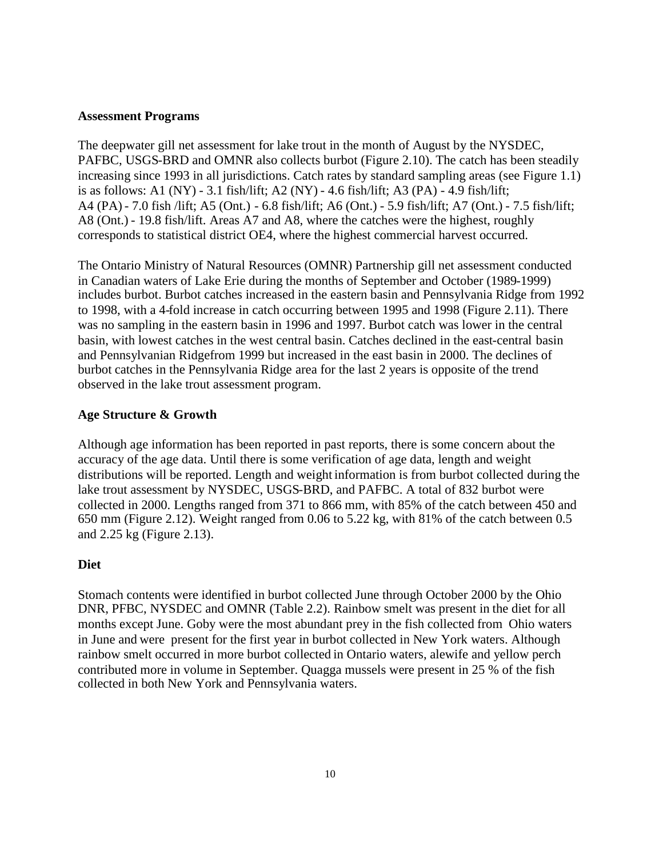## **Assessment Programs**

The deepwater gill net assessment for lake trout in the month of August by the NYSDEC, PAFBC, USGS-BRD and OMNR also collects burbot (Figure 2.10). The catch has been steadily increasing since 1993 in all jurisdictions. Catch rates by standard sampling areas (see Figure 1.1) is as follows: A1 (NY) - 3.1 fish/lift; A2 (NY) - 4.6 fish/lift; A3 (PA) - 4.9 fish/lift; A4 (PA) - 7.0 fish /lift; A5 (Ont.) - 6.8 fish/lift; A6 (Ont.) - 5.9 fish/lift; A7 (Ont.) - 7.5 fish/lift; A8 (Ont.) - 19.8 fish/lift. Areas A7 and A8, where the catches were the highest, roughly corresponds to statistical district OE4, where the highest commercial harvest occurred.

The Ontario Ministry of Natural Resources (OMNR) Partnership gill net assessment conducted in Canadian waters of Lake Erie during the months of September and October (1989-1999) includes burbot. Burbot catches increased in the eastern basin and Pennsylvania Ridge from 1992 to 1998, with a 4-fold increase in catch occurring between 1995 and 1998 (Figure 2.11). There was no sampling in the eastern basin in 1996 and 1997. Burbot catch was lower in the central basin, with lowest catches in the west central basin. Catches declined in the east-central basin and Pennsylvanian Ridgefrom 1999 but increased in the east basin in 2000. The declines of burbot catches in the Pennsylvania Ridge area for the last 2 years is opposite of the trend observed in the lake trout assessment program.

# **Age Structure & Growth**

Although age information has been reported in past reports, there is some concern about the accuracy of the age data. Until there is some verification of age data, length and weight distributions will be reported. Length and weight information is from burbot collected during the lake trout assessment by NYSDEC, USGS-BRD, and PAFBC. A total of 832 burbot were collected in 2000. Lengths ranged from 371 to 866 mm, with 85% of the catch between 450 and 650 mm (Figure 2.12). Weight ranged from 0.06 to 5.22 kg, with 81% of the catch between 0.5 and 2.25 kg (Figure 2.13).

## **Diet**

Stomach contents were identified in burbot collected June through October 2000 by the Ohio DNR, PFBC, NYSDEC and OMNR (Table 2.2). Rainbow smelt was present in the diet for all months except June. Goby were the most abundant prey in the fish collected from Ohio waters in June and were present for the first year in burbot collected in New York waters. Although rainbow smelt occurred in more burbot collected in Ontario waters, alewife and yellow perch contributed more in volume in September. Quagga mussels were present in 25 % of the fish collected in both New York and Pennsylvania waters.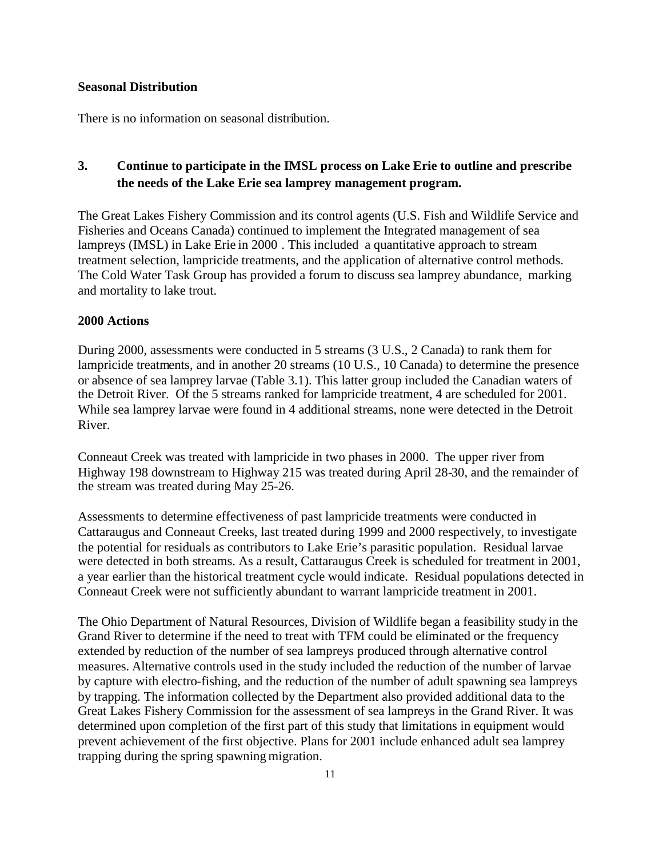### **Seasonal Distribution**

There is no information on seasonal distribution.

# **3. Continue to participate in the IMSL process on Lake Erie to outline and prescribe the needs of the Lake Erie sea lamprey management program.**

The Great Lakes Fishery Commission and its control agents (U.S. Fish and Wildlife Service and Fisheries and Oceans Canada) continued to implement the Integrated management of sea lampreys (IMSL) in Lake Erie in 2000 . This included a quantitative approach to stream treatment selection, lampricide treatments, and the application of alternative control methods. The Cold Water Task Group has provided a forum to discuss sea lamprey abundance, marking and mortality to lake trout.

## **2000 Actions**

During 2000, assessments were conducted in 5 streams (3 U.S., 2 Canada) to rank them for lampricide treatments, and in another 20 streams (10 U.S., 10 Canada) to determine the presence or absence of sea lamprey larvae (Table 3.1). This latter group included the Canadian waters of the Detroit River. Of the 5 streams ranked for lampricide treatment, 4 are scheduled for 2001. While sea lamprey larvae were found in 4 additional streams, none were detected in the Detroit River.

Conneaut Creek was treated with lampricide in two phases in 2000. The upper river from Highway 198 downstream to Highway 215 was treated during April 28-30, and the remainder of the stream was treated during May 25-26.

Assessments to determine effectiveness of past lampricide treatments were conducted in Cattaraugus and Conneaut Creeks, last treated during 1999 and 2000 respectively, to investigate the potential for residuals as contributors to Lake Erie's parasitic population. Residual larvae were detected in both streams. As a result, Cattaraugus Creek is scheduled for treatment in 2001, a year earlier than the historical treatment cycle would indicate. Residual populations detected in Conneaut Creek were not sufficiently abundant to warrant lampricide treatment in 2001.

The Ohio Department of Natural Resources, Division of Wildlife began a feasibility study in the Grand River to determine if the need to treat with TFM could be eliminated or the frequency extended by reduction of the number of sea lampreys produced through alternative control measures. Alternative controls used in the study included the reduction of the number of larvae by capture with electro-fishing, and the reduction of the number of adult spawning sea lampreys by trapping. The information collected by the Department also provided additional data to the Great Lakes Fishery Commission for the assessment of sea lampreys in the Grand River. It was determined upon completion of the first part of this study that limitations in equipment would prevent achievement of the first objective. Plans for 2001 include enhanced adult sea lamprey trapping during the spring spawning migration.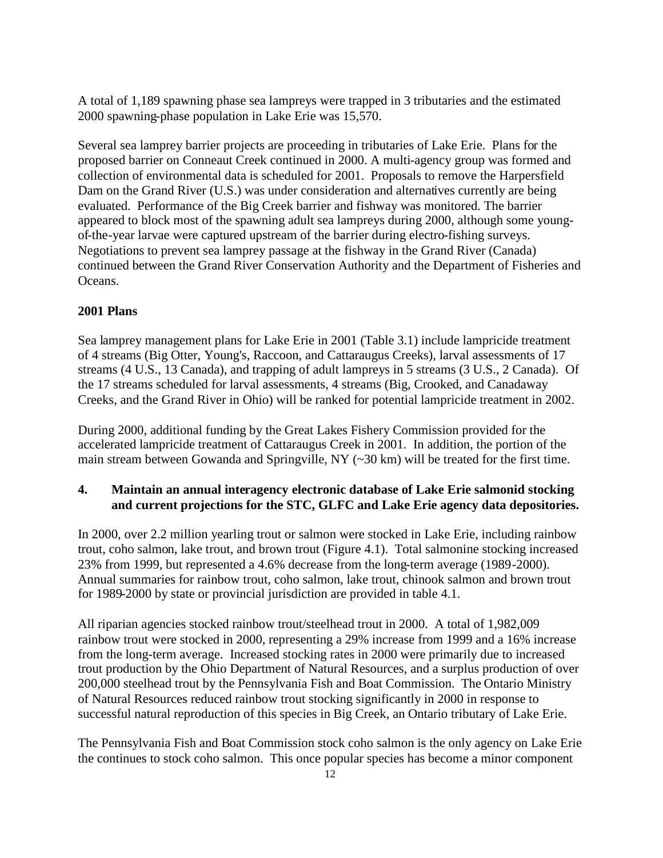A total of 1,189 spawning phase sea lampreys were trapped in 3 tributaries and the estimated 2000 spawning-phase population in Lake Erie was 15,570.

Several sea lamprey barrier projects are proceeding in tributaries of Lake Erie. Plans for the proposed barrier on Conneaut Creek continued in 2000. A multi-agency group was formed and collection of environmental data is scheduled for 2001. Proposals to remove the Harpersfield Dam on the Grand River (U.S.) was under consideration and alternatives currently are being evaluated. Performance of the Big Creek barrier and fishway was monitored. The barrier appeared to block most of the spawning adult sea lampreys during 2000, although some youngof-the-year larvae were captured upstream of the barrier during electro-fishing surveys. Negotiations to prevent sea lamprey passage at the fishway in the Grand River (Canada) continued between the Grand River Conservation Authority and the Department of Fisheries and Oceans.

# **2001 Plans**

Sea lamprey management plans for Lake Erie in 2001 (Table 3.1) include lampricide treatment of 4 streams (Big Otter, Young's, Raccoon, and Cattaraugus Creeks), larval assessments of 17 streams (4 U.S., 13 Canada), and trapping of adult lampreys in 5 streams (3 U.S., 2 Canada). Of the 17 streams scheduled for larval assessments, 4 streams (Big, Crooked, and Canadaway Creeks, and the Grand River in Ohio) will be ranked for potential lampricide treatment in 2002.

During 2000, additional funding by the Great Lakes Fishery Commission provided for the accelerated lampricide treatment of Cattaraugus Creek in 2001. In addition, the portion of the main stream between Gowanda and Springville, NY (~30 km) will be treated for the first time.

# **4. Maintain an annual interagency electronic database of Lake Erie salmonid stocking and current projections for the STC, GLFC and Lake Erie agency data depositories.**

In 2000, over 2.2 million yearling trout or salmon were stocked in Lake Erie, including rainbow trout, coho salmon, lake trout, and brown trout (Figure 4.1). Total salmonine stocking increased 23% from 1999, but represented a 4.6% decrease from the long-term average (1989-2000). Annual summaries for rainbow trout, coho salmon, lake trout, chinook salmon and brown trout for 1989-2000 by state or provincial jurisdiction are provided in table 4.1.

All riparian agencies stocked rainbow trout/steelhead trout in 2000. A total of 1,982,009 rainbow trout were stocked in 2000, representing a 29% increase from 1999 and a 16% increase from the long-term average. Increased stocking rates in 2000 were primarily due to increased trout production by the Ohio Department of Natural Resources, and a surplus production of over 200,000 steelhead trout by the Pennsylvania Fish and Boat Commission. The Ontario Ministry of Natural Resources reduced rainbow trout stocking significantly in 2000 in response to successful natural reproduction of this species in Big Creek, an Ontario tributary of Lake Erie.

The Pennsylvania Fish and Boat Commission stock coho salmon is the only agency on Lake Erie the continues to stock coho salmon. This once popular species has become a minor component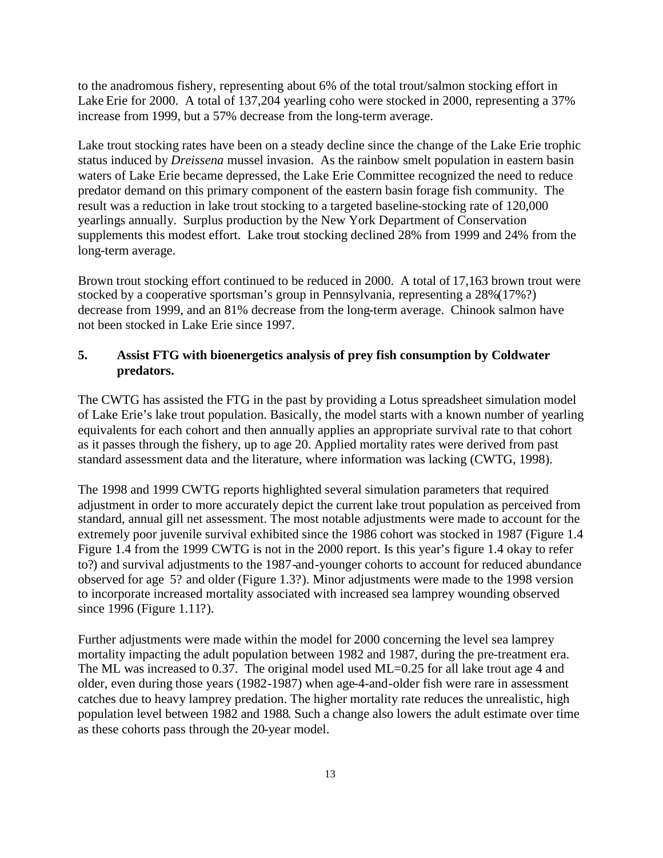to the anadromous fishery, representing about 6% of the total trout/salmon stocking effort in Lake Erie for 2000. A total of 137,204 yearling coho were stocked in 2000, representing a 37% increase from 1999, but a 57% decrease from the long-term average.

Lake trout stocking rates have been on a steady decline since the change of the Lake Erie trophic status induced by *Dreissena* mussel invasion. As the rainbow smelt population in eastern basin waters of Lake Erie became depressed, the Lake Erie Committee recognized the need to reduce predator demand on this primary component of the eastern basin forage fish community. The result was a reduction in lake trout stocking to a targeted baseline-stocking rate of 120,000 yearlings annually. Surplus production by the New York Department of Conservation supplements this modest effort. Lake trout stocking declined 28% from 1999 and 24% from the long-term average.

Brown trout stocking effort continued to be reduced in 2000. A total of 17,163 brown trout were stocked by a cooperative sportsman's group in Pennsylvania, representing a 28%(17%?) decrease from 1999, and an 81% decrease from the long-term average. Chinook salmon have not been stocked in Lake Erie since 1997.

# **5. Assist FTG with bioenergetics analysis of prey fish consumption by Coldwater predators.**

The CWTG has assisted the FTG in the past by providing a Lotus spreadsheet simulation model of Lake Erie's lake trout population. Basically, the model starts with a known number of yearling equivalents for each cohort and then annually applies an appropriate survival rate to that cohort as it passes through the fishery, up to age 20. Applied mortality rates were derived from past standard assessment data and the literature, where information was lacking (CWTG, 1998).

The 1998 and 1999 CWTG reports highlighted several simulation parameters that required adjustment in order to more accurately depict the current lake trout population as perceived from standard, annual gill net assessment. The most notable adjustments were made to account for the extremely poor juvenile survival exhibited since the 1986 cohort was stocked in 1987 (Figure 1.4 Figure 1.4 from the 1999 CWTG is not in the 2000 report. Is this year's figure 1.4 okay to refer to?) and survival adjustments to the 1987-and-younger cohorts to account for reduced abundance observed for age 5? and older (Figure 1.3?). Minor adjustments were made to the 1998 version to incorporate increased mortality associated with increased sea lamprey wounding observed since 1996 (Figure 1.11?).

Further adjustments were made within the model for 2000 concerning the level sea lamprey mortality impacting the adult population between 1982 and 1987, during the pre-treatment era. The ML was increased to 0.37. The original model used ML=0.25 for all lake trout age 4 and older, even during those years (1982-1987) when age-4-and-older fish were rare in assessment catches due to heavy lamprey predation. The higher mortality rate reduces the unrealistic, high population level between 1982 and 1988. Such a change also lowers the adult estimate over time as these cohorts pass through the 20-year model.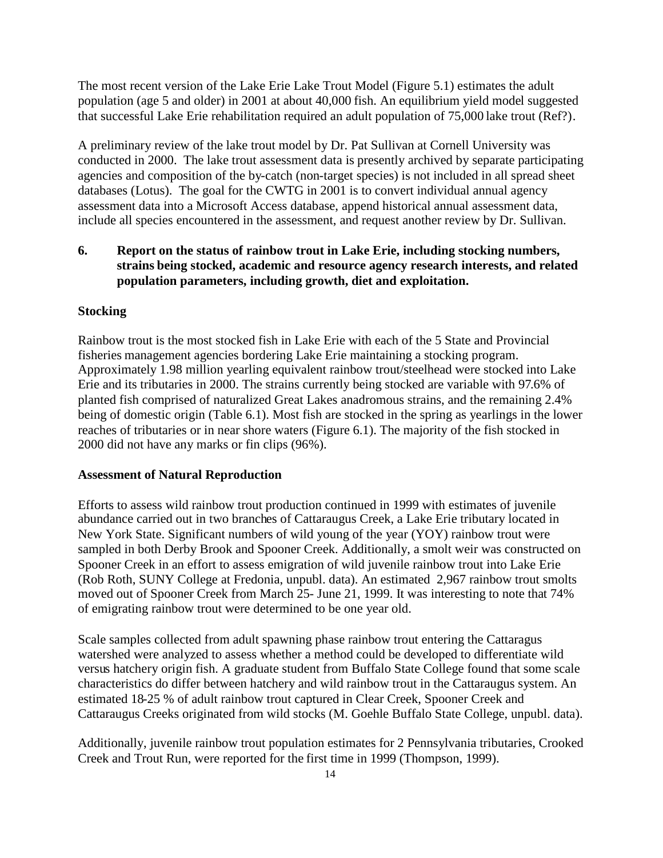The most recent version of the Lake Erie Lake Trout Model (Figure 5.1) estimates the adult population (age 5 and older) in 2001 at about 40,000 fish. An equilibrium yield model suggested that successful Lake Erie rehabilitation required an adult population of 75,000 lake trout (Ref?).

A preliminary review of the lake trout model by Dr. Pat Sullivan at Cornell University was conducted in 2000. The lake trout assessment data is presently archived by separate participating agencies and composition of the by-catch (non-target species) is not included in all spread sheet databases (Lotus). The goal for the CWTG in 2001 is to convert individual annual agency assessment data into a Microsoft Access database, append historical annual assessment data, include all species encountered in the assessment, and request another review by Dr. Sullivan.

# **6. Report on the status of rainbow trout in Lake Erie, including stocking numbers, strains being stocked, academic and resource agency research interests, and related population parameters, including growth, diet and exploitation.**

## **Stocking**

Rainbow trout is the most stocked fish in Lake Erie with each of the 5 State and Provincial fisheries management agencies bordering Lake Erie maintaining a stocking program. Approximately 1.98 million yearling equivalent rainbow trout/steelhead were stocked into Lake Erie and its tributaries in 2000. The strains currently being stocked are variable with 97.6% of planted fish comprised of naturalized Great Lakes anadromous strains, and the remaining 2.4% being of domestic origin (Table 6.1). Most fish are stocked in the spring as yearlings in the lower reaches of tributaries or in near shore waters (Figure 6.1). The majority of the fish stocked in 2000 did not have any marks or fin clips (96%).

#### **Assessment of Natural Reproduction**

Efforts to assess wild rainbow trout production continued in 1999 with estimates of juvenile abundance carried out in two branches of Cattaraugus Creek, a Lake Erie tributary located in New York State. Significant numbers of wild young of the year (YOY) rainbow trout were sampled in both Derby Brook and Spooner Creek. Additionally, a smolt weir was constructed on Spooner Creek in an effort to assess emigration of wild juvenile rainbow trout into Lake Erie (Rob Roth, SUNY College at Fredonia, unpubl. data). An estimated 2,967 rainbow trout smolts moved out of Spooner Creek from March 25- June 21, 1999. It was interesting to note that 74% of emigrating rainbow trout were determined to be one year old.

Scale samples collected from adult spawning phase rainbow trout entering the Cattaragus watershed were analyzed to assess whether a method could be developed to differentiate wild versus hatchery origin fish. A graduate student from Buffalo State College found that some scale characteristics do differ between hatchery and wild rainbow trout in the Cattaraugus system. An estimated 18-25 % of adult rainbow trout captured in Clear Creek, Spooner Creek and Cattaraugus Creeks originated from wild stocks (M. Goehle Buffalo State College, unpubl. data).

Additionally, juvenile rainbow trout population estimates for 2 Pennsylvania tributaries, Crooked Creek and Trout Run, were reported for the first time in 1999 (Thompson, 1999).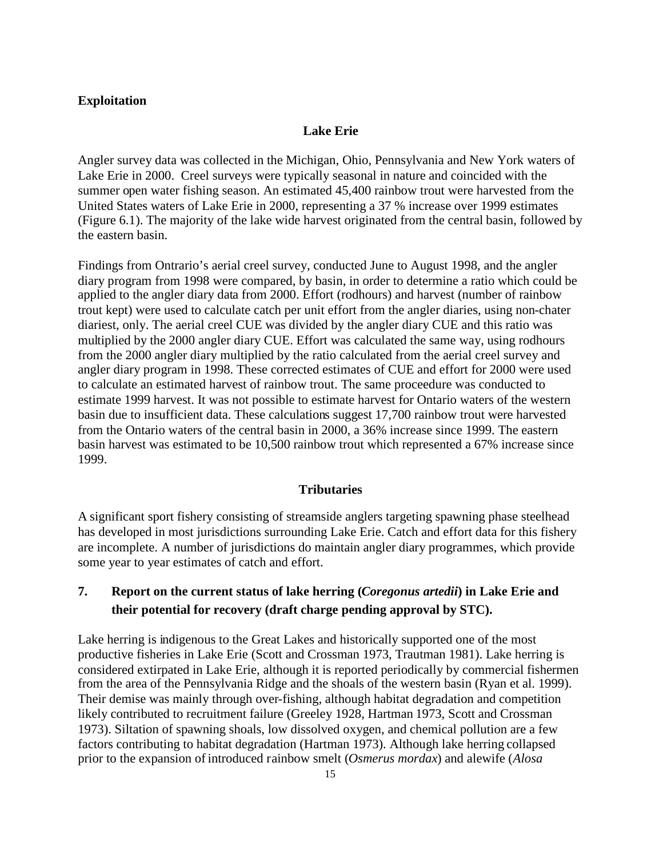## **Exploitation**

#### **Lake Erie**

Angler survey data was collected in the Michigan, Ohio, Pennsylvania and New York waters of Lake Erie in 2000. Creel surveys were typically seasonal in nature and coincided with the summer open water fishing season. An estimated 45,400 rainbow trout were harvested from the United States waters of Lake Erie in 2000, representing a 37 % increase over 1999 estimates (Figure 6.1). The majority of the lake wide harvest originated from the central basin, followed by the eastern basin.

Findings from Ontrario's aerial creel survey, conducted June to August 1998, and the angler diary program from 1998 were compared, by basin, in order to determine a ratio which could be applied to the angler diary data from 2000. Effort (rodhours) and harvest (number of rainbow trout kept) were used to calculate catch per unit effort from the angler diaries, using non-chater diariest, only. The aerial creel CUE was divided by the angler diary CUE and this ratio was multiplied by the 2000 angler diary CUE. Effort was calculated the same way, using rodhours from the 2000 angler diary multiplied by the ratio calculated from the aerial creel survey and angler diary program in 1998. These corrected estimates of CUE and effort for 2000 were used to calculate an estimated harvest of rainbow trout. The same proceedure was conducted to estimate 1999 harvest. It was not possible to estimate harvest for Ontario waters of the western basin due to insufficient data. These calculations suggest 17,700 rainbow trout were harvested from the Ontario waters of the central basin in 2000, a 36% increase since 1999. The eastern basin harvest was estimated to be 10,500 rainbow trout which represented a 67% increase since 1999.

#### **Tributaries**

A significant sport fishery consisting of streamside anglers targeting spawning phase steelhead has developed in most jurisdictions surrounding Lake Erie. Catch and effort data for this fishery are incomplete. A number of jurisdictions do maintain angler diary programmes, which provide some year to year estimates of catch and effort.

# **7. Report on the current status of lake herring (***Coregonus artedii***) in Lake Erie and their potential for recovery (draft charge pending approval by STC).**

Lake herring is indigenous to the Great Lakes and historically supported one of the most productive fisheries in Lake Erie (Scott and Crossman 1973, Trautman 1981). Lake herring is considered extirpated in Lake Erie, although it is reported periodically by commercial fishermen from the area of the Pennsylvania Ridge and the shoals of the western basin (Ryan et al. 1999). Their demise was mainly through over-fishing, although habitat degradation and competition likely contributed to recruitment failure (Greeley 1928, Hartman 1973, Scott and Crossman 1973). Siltation of spawning shoals, low dissolved oxygen, and chemical pollution are a few factors contributing to habitat degradation (Hartman 1973). Although lake herring collapsed prior to the expansion of introduced rainbow smelt (*Osmerus mordax*) and alewife (*Alosa*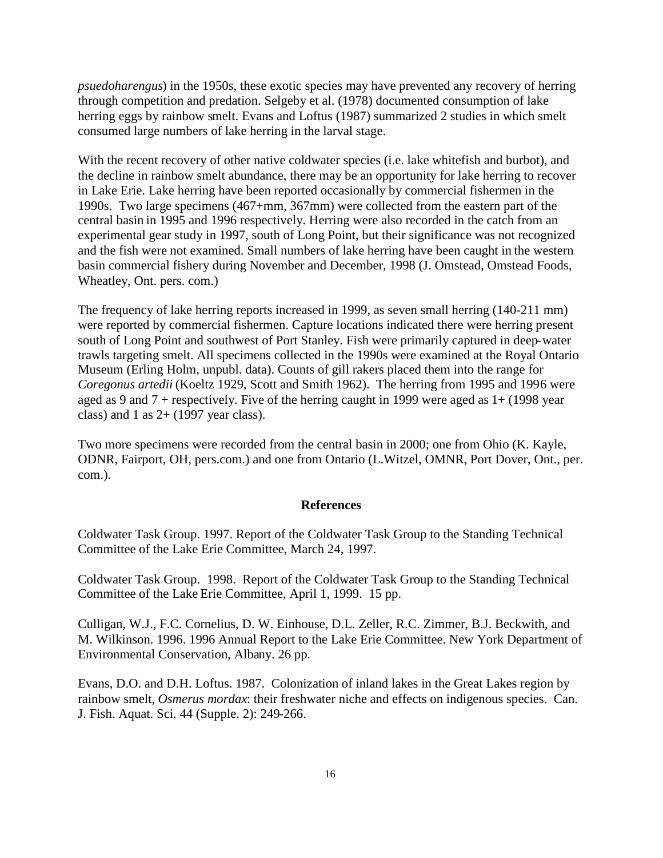*psuedoharengus*) in the 1950s, these exotic species may have prevented any recovery of herring through competition and predation. Selgeby et al. (1978) documented consumption of lake herring eggs by rainbow smelt. Evans and Loftus (1987) summarized 2 studies in which smelt consumed large numbers of lake herring in the larval stage.

With the recent recovery of other native coldwater species (i.e. lake whitefish and burbot), and the decline in rainbow smelt abundance, there may be an opportunity for lake herring to recover in Lake Erie. Lake herring have been reported occasionally by commercial fishermen in the 1990s. Two large specimens (467+mm, 367mm) were collected from the eastern part of the central basin in 1995 and 1996 respectively. Herring were also recorded in the catch from an experimental gear study in 1997, south of Long Point, but their significance was not recognized and the fish were not examined. Small numbers of lake herring have been caught in the western basin commercial fishery during November and December, 1998 (J. Omstead, Omstead Foods, Wheatley, Ont. pers. com.)

The frequency of lake herring reports increased in 1999, as seven small herring (140-211 mm) were reported by commercial fishermen. Capture locations indicated there were herring present south of Long Point and southwest of Port Stanley. Fish were primarily captured in deep-water trawls targeting smelt. All specimens collected in the 1990s were examined at the Royal Ontario Museum (Erling Holm, unpubl. data). Counts of gill rakers placed them into the range for *Coregonus artedii* (Koeltz 1929, Scott and Smith 1962). The herring from 1995 and 1996 were aged as 9 and  $7 +$  respectively. Five of the herring caught in 1999 were aged as  $1 + (1998 \text{ year})$ class) and 1 as  $2+(1997 \text{ year class})$ .

Two more specimens were recorded from the central basin in 2000; one from Ohio (K. Kayle, ODNR, Fairport, OH, pers.com.) and one from Ontario (L.Witzel, OMNR, Port Dover, Ont., per. com.).

#### **References**

Coldwater Task Group. 1997. Report of the Coldwater Task Group to the Standing Technical Committee of the Lake Erie Committee, March 24, 1997.

Coldwater Task Group. 1998. Report of the Coldwater Task Group to the Standing Technical Committee of the Lake Erie Committee, April 1, 1999. 15 pp.

Culligan, W.J., F.C. Cornelius, D. W. Einhouse, D.L. Zeller, R.C. Zimmer, B.J. Beckwith, and M. Wilkinson. 1996. 1996 Annual Report to the Lake Erie Committee. New York Department of Environmental Conservation, Albany. 26 pp.

Evans, D.O. and D.H. Loftus. 1987. Colonization of inland lakes in the Great Lakes region by rainbow smelt, *Osmerus mordax*: their freshwater niche and effects on indigenous species. Can. J. Fish. Aquat. Sci. 44 (Supple. 2): 249-266.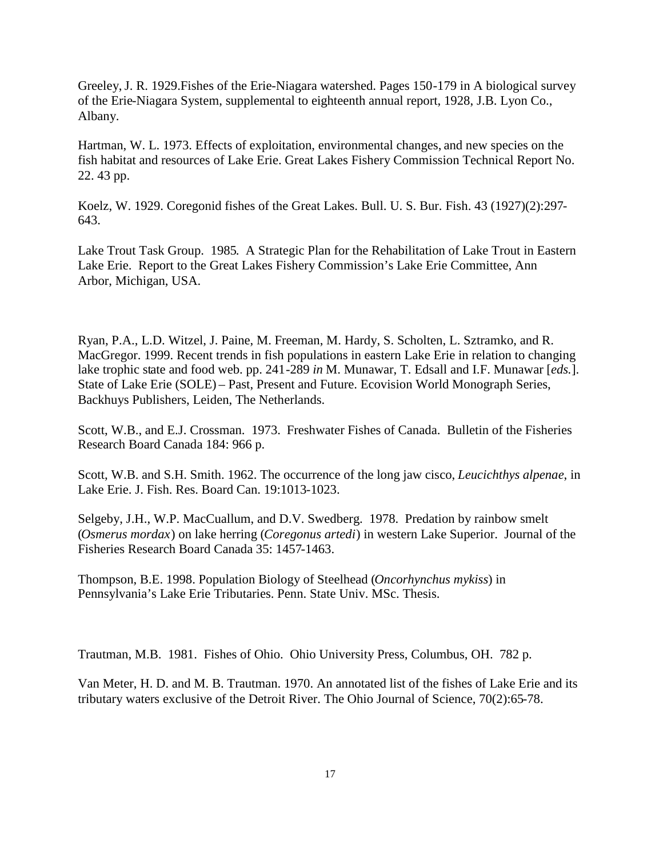Greeley,J. R. 1929.Fishes of the Erie-Niagara watershed. Pages 150-179 in A biological survey of the Erie-Niagara System, supplemental to eighteenth annual report, 1928, J.B. Lyon Co., Albany.

Hartman, W. L. 1973. Effects of exploitation, environmental changes, and new species on the fish habitat and resources of Lake Erie. Great Lakes Fishery Commission Technical Report No. 22. 43 pp.

Koelz, W. 1929. Coregonid fishes of the Great Lakes. Bull. U. S. Bur. Fish. 43 (1927)(2):297- 643.

Lake Trout Task Group. 1985. A Strategic Plan for the Rehabilitation of Lake Trout in Eastern Lake Erie. Report to the Great Lakes Fishery Commission's Lake Erie Committee, Ann Arbor, Michigan, USA.

Ryan, P.A., L.D. Witzel, J. Paine, M. Freeman, M. Hardy, S. Scholten, L. Sztramko, and R. MacGregor. 1999. Recent trends in fish populations in eastern Lake Erie in relation to changing lake trophic state and food web. pp. 241-289 *in* M. Munawar, T. Edsall and I.F. Munawar [*eds.*]. State of Lake Erie (SOLE) – Past, Present and Future. Ecovision World Monograph Series, Backhuys Publishers, Leiden, The Netherlands.

Scott, W.B., and E.J. Crossman. 1973. Freshwater Fishes of Canada. Bulletin of the Fisheries Research Board Canada 184: 966 p.

Scott, W.B. and S.H. Smith. 1962. The occurrence of the long jaw cisco, *Leucichthys alpenae*, in Lake Erie. J. Fish. Res. Board Can. 19:1013-1023.

Selgeby, J.H., W.P. MacCuallum, and D.V. Swedberg. 1978. Predation by rainbow smelt (*Osmerus mordax*) on lake herring (*Coregonus artedi*) in western Lake Superior. Journal of the Fisheries Research Board Canada 35: 1457-1463.

Thompson, B.E. 1998. Population Biology of Steelhead (*Oncorhynchus mykiss*) in Pennsylvania's Lake Erie Tributaries. Penn. State Univ. MSc. Thesis.

Trautman, M.B. 1981. Fishes of Ohio. Ohio University Press, Columbus, OH. 782 p.

Van Meter, H. D. and M. B. Trautman. 1970. An annotated list of the fishes of Lake Erie and its tributary waters exclusive of the Detroit River. The Ohio Journal of Science, 70(2):65-78.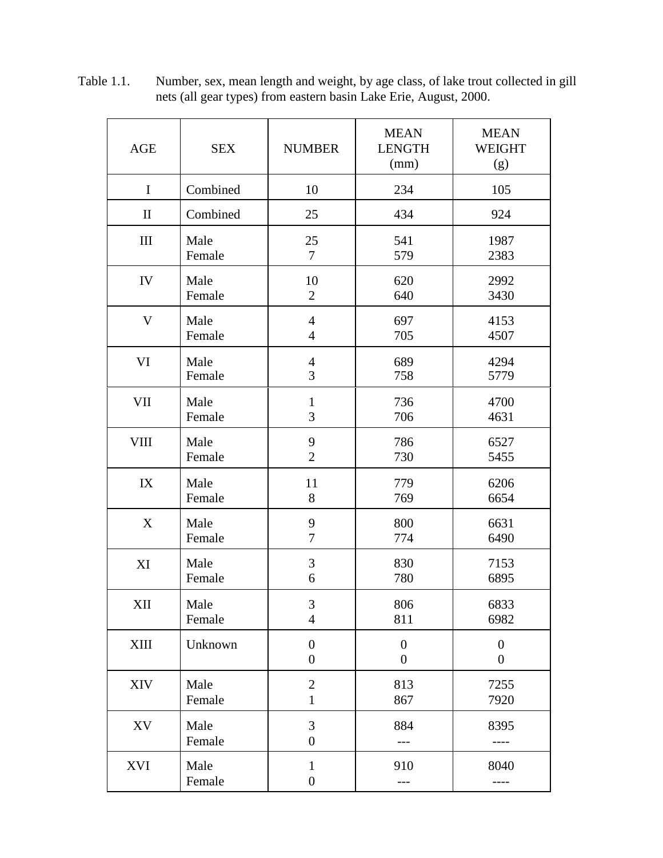| <b>AGE</b>   | <b>SEX</b> | <b>NUMBER</b>                    | <b>MEAN</b><br><b>LENGTH</b><br>(mm) | <b>MEAN</b><br><b>WEIGHT</b><br>(g) |
|--------------|------------|----------------------------------|--------------------------------------|-------------------------------------|
| $\mathbf I$  | Combined   | 10                               | 234                                  | 105                                 |
| $\mathbf{I}$ | Combined   | 25                               | 434                                  | 924                                 |
| III          | Male       | 25                               | 541                                  | 1987                                |
|              | Female     | $\tau$                           | 579                                  | 2383                                |
| IV           | Male       | 10                               | 620                                  | 2992                                |
|              | Female     | $\overline{2}$                   | 640                                  | 3430                                |
| $\mathbf V$  | Male       | $\overline{4}$                   | 697                                  | 4153                                |
|              | Female     | $\overline{4}$                   | 705                                  | 4507                                |
| VI           | Male       | $\overline{4}$                   | 689                                  | 4294                                |
|              | Female     | 3                                | 758                                  | 5779                                |
| <b>VII</b>   | Male       | $\mathbf{1}$                     | 736                                  | 4700                                |
|              | Female     | 3                                | 706                                  | 4631                                |
| <b>VIII</b>  | Male       | 9                                | 786                                  | 6527                                |
|              | Female     | $\overline{2}$                   | 730                                  | 5455                                |
| IX           | Male       | 11                               | 779                                  | 6206                                |
|              | Female     | 8                                | 769                                  | 6654                                |
| X            | Male       | 9                                | 800                                  | 6631                                |
|              | Female     | $\tau$                           | 774                                  | 6490                                |
| XI           | Male       | 3                                | 830                                  | 7153                                |
|              | Female     | 6                                | 780                                  | 6895                                |
| XII          | Male       | $\mathfrak{Z}$                   | 806                                  | 6833                                |
|              | Female     | $\overline{4}$                   | 811                                  | 6982                                |
| XIII         | Unknown    | $\overline{0}$<br>$\overline{0}$ | $\overline{0}$<br>$\overline{0}$     | $\overline{0}$<br>$\overline{0}$    |
| XIV          | Male       | $\overline{2}$                   | 813                                  | 7255                                |
|              | Female     | $\mathbf{1}$                     | 867                                  | 7920                                |
| XV           | Male       | 3                                | 884                                  | 8395                                |
|              | Female     | $\boldsymbol{0}$                 | ---                                  | $--- -$                             |
| XVI          | Male       | $\mathbf{1}$                     | 910                                  | 8040                                |
|              | Female     | $\boldsymbol{0}$                 | ---                                  | ----                                |

Table 1.1. Number, sex, mean length and weight, by age class, of lake trout collected in gill nets (all gear types) from eastern basin Lake Erie, August, 2000.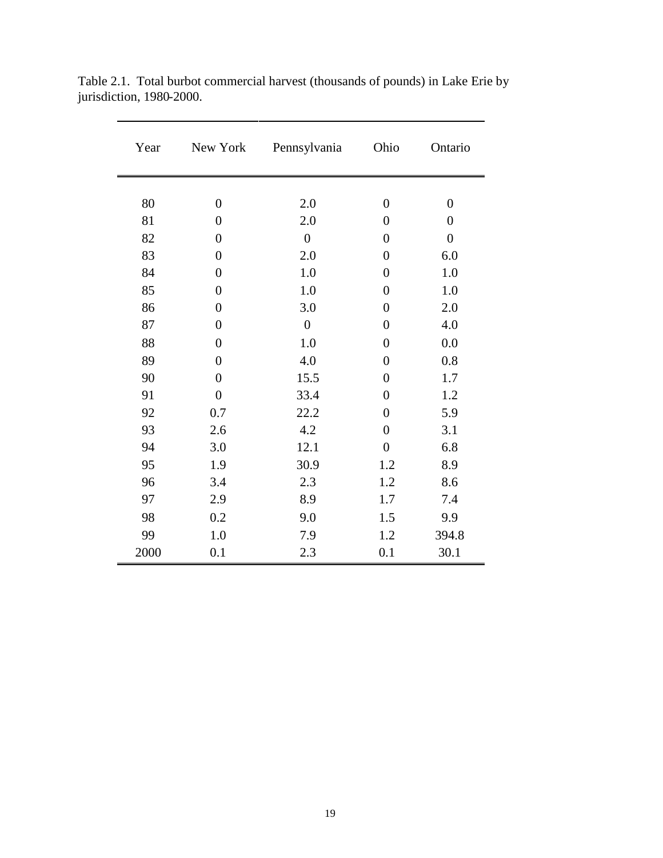| Year | New York         | Pennsylvania     | Ohio             | Ontario        |
|------|------------------|------------------|------------------|----------------|
|      |                  |                  |                  |                |
| 80   | $\overline{0}$   | 2.0              | $\overline{0}$   | $\overline{0}$ |
| 81   | $\overline{0}$   | 2.0              | $\overline{0}$   | $\overline{0}$ |
| 82   | $\overline{0}$   | $\boldsymbol{0}$ | $\overline{0}$   | $\overline{0}$ |
| 83   | $\boldsymbol{0}$ | 2.0              | $\overline{0}$   | 6.0            |
| 84   | $\boldsymbol{0}$ | 1.0              | $\overline{0}$   | 1.0            |
| 85   | $\boldsymbol{0}$ | 1.0              | $\overline{0}$   | 1.0            |
| 86   | $\overline{0}$   | 3.0              | $\boldsymbol{0}$ | 2.0            |
| 87   | $\overline{0}$   | $\boldsymbol{0}$ | $\boldsymbol{0}$ | 4.0            |
| 88   | $\overline{0}$   | 1.0              | $\overline{0}$   | 0.0            |
| 89   | $\overline{0}$   | 4.0              | $\overline{0}$   | 0.8            |
| 90   | $\overline{0}$   | 15.5             | $\overline{0}$   | 1.7            |
| 91   | $\overline{0}$   | 33.4             | $\overline{0}$   | 1.2            |
| 92   | 0.7              | 22.2             | $\overline{0}$   | 5.9            |
| 93   | 2.6              | 4.2              | $\overline{0}$   | 3.1            |
| 94   | 3.0              | 12.1             | $\boldsymbol{0}$ | 6.8            |
| 95   | 1.9              | 30.9             | 1.2              | 8.9            |
| 96   | 3.4              | 2.3              | 1.2              | 8.6            |
| 97   | 2.9              | 8.9              | 1.7              | 7.4            |
| 98   | 0.2              | 9.0              | 1.5              | 9.9            |
| 99   | 1.0              | 7.9              | 1.2              | 394.8          |
| 2000 | 0.1              | 2.3              | 0.1              | 30.1           |

Table 2.1. Total burbot commercial harvest (thousands of pounds) in Lake Erie by jurisdiction, 1980-2000.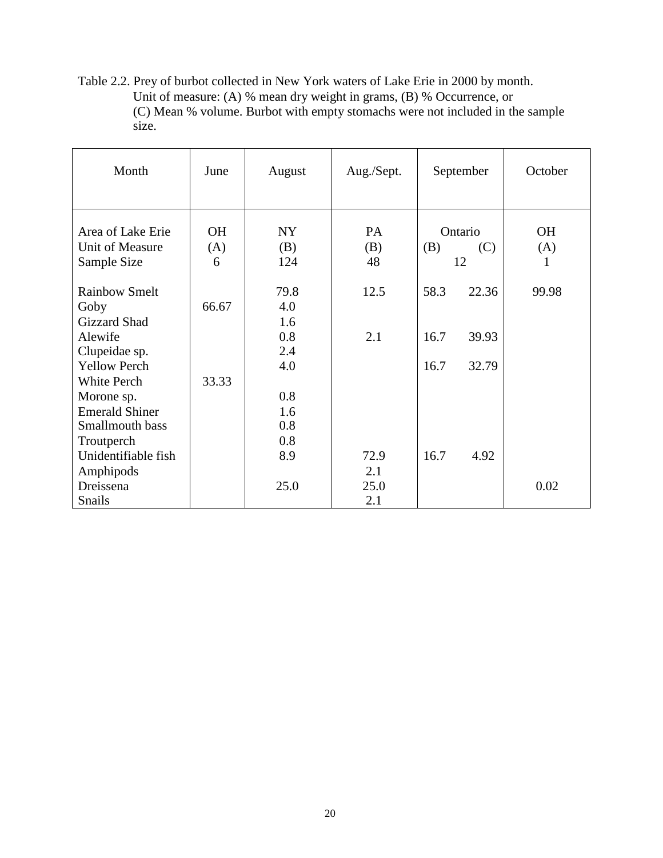Table 2.2. Prey of burbot collected in New York waters of Lake Erie in 2000 by month. Unit of measure: (A) % mean dry weight in grams, (B) % Occurrence, or (C) Mean % volume. Burbot with empty stomachs were not included in the sample size.

| Month                                                                                       | June             | August                          | Aug./Sept.         | September             | October          |
|---------------------------------------------------------------------------------------------|------------------|---------------------------------|--------------------|-----------------------|------------------|
| Area of Lake Erie<br>Unit of Measure                                                        | <b>OH</b><br>(A) | NY<br>(B)                       | PA<br>(B)          | Ontario<br>(B)<br>(C) | <b>OH</b><br>(A) |
| Sample Size                                                                                 | 6                | 124                             | 48                 | 12                    | 1                |
| <b>Rainbow Smelt</b><br>Goby                                                                | 66.67            | 79.8<br>4.0                     | 12.5               | 22.36<br>58.3         | 99.98            |
| <b>Gizzard Shad</b><br>Alewife<br>Clupeidae sp.                                             |                  | 1.6<br>0.8<br>2.4               | 2.1                | 16.7<br>39.93         |                  |
| <b>Yellow Perch</b><br>White Perch                                                          | 33.33            | 4.0                             |                    | 16.7<br>32.79         |                  |
| Morone sp.<br><b>Emerald Shiner</b><br>Smallmouth bass<br>Troutperch<br>Unidentifiable fish |                  | 0.8<br>1.6<br>0.8<br>0.8<br>8.9 | 72.9               | 16.7<br>4.92          |                  |
| Amphipods<br>Dreissena<br>Snails                                                            |                  | 25.0                            | 2.1<br>25.0<br>2.1 |                       | 0.02             |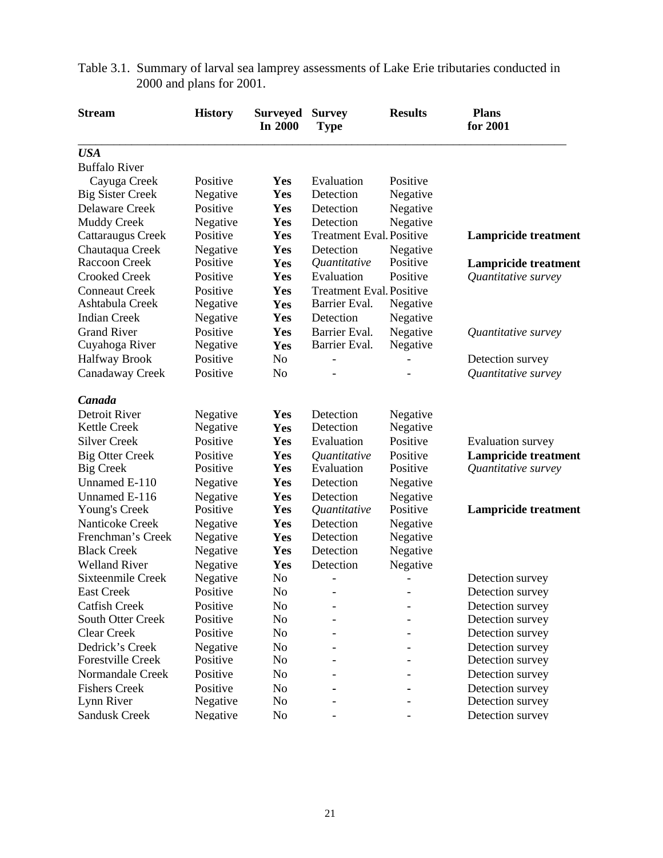| <b>Stream</b>            | <b>History</b> | <b>Surveyed</b><br>In 2000 | <b>Survey</b><br><b>Type</b>    | <b>Results</b> | <b>Plans</b><br>for 2001    |
|--------------------------|----------------|----------------------------|---------------------------------|----------------|-----------------------------|
| <b>USA</b>               |                |                            |                                 |                |                             |
| <b>Buffalo River</b>     |                |                            |                                 |                |                             |
| Cayuga Creek             | Positive       | Yes                        | Evaluation                      | Positive       |                             |
| <b>Big Sister Creek</b>  | Negative       | Yes                        | Detection                       | Negative       |                             |
| Delaware Creek           | Positive       | Yes                        | Detection                       | Negative       |                             |
| <b>Muddy Creek</b>       | Negative       | Yes                        | Detection                       | Negative       |                             |
| Cattaraugus Creek        | Positive       | Yes                        | <b>Treatment Eval. Positive</b> |                | <b>Lampricide treatment</b> |
| Chautaqua Creek          | Negative       | Yes                        | Detection                       | Negative       |                             |
| Raccoon Creek            | Positive       | Yes                        | Quantitative                    | Positive       | <b>Lampricide treatment</b> |
| <b>Crooked Creek</b>     | Positive       | Yes                        | Evaluation                      | Positive       | Quantitative survey         |
| <b>Conneaut Creek</b>    | Positive       | Yes                        | <b>Treatment Eval. Positive</b> |                |                             |
| Ashtabula Creek          | Negative       | Yes                        | Barrier Eval.                   | Negative       |                             |
| <b>Indian Creek</b>      | Negative       | Yes                        | Detection                       | Negative       |                             |
| <b>Grand River</b>       | Positive       | Yes                        | Barrier Eval.                   | Negative       | Quantitative survey         |
| Cuyahoga River           | Negative       | Yes                        | Barrier Eval.                   | Negative       |                             |
| <b>Halfway Brook</b>     | Positive       | N <sub>o</sub>             |                                 |                | Detection survey            |
| Canadaway Creek          | Positive       | N <sub>o</sub>             |                                 |                | Quantitative survey         |
| Canada                   |                |                            |                                 |                |                             |
| Detroit River            | Negative       | Yes                        | Detection                       | Negative       |                             |
| Kettle Creek             | Negative       | Yes                        | Detection                       | Negative       |                             |
| <b>Silver Creek</b>      | Positive       | Yes                        | Evaluation                      | Positive       | <b>Evaluation</b> survey    |
| <b>Big Otter Creek</b>   | Positive       | Yes                        | Quantitative                    | Positive       | <b>Lampricide treatment</b> |
| <b>Big Creek</b>         | Positive       | Yes                        | Evaluation                      | Positive       | Quantitative survey         |
| Unnamed E-110            | Negative       | Yes                        | Detection                       | Negative       |                             |
| Unnamed E-116            | Negative       | Yes                        | Detection                       | Negative       |                             |
| Young's Creek            | Positive       | Yes                        | Quantitative                    | Positive       | <b>Lampricide treatment</b> |
| Nanticoke Creek          | Negative       | Yes                        | Detection                       | Negative       |                             |
| Frenchman's Creek        | Negative       | Yes                        | Detection                       | Negative       |                             |
| <b>Black Creek</b>       | Negative       | Yes                        | Detection                       | Negative       |                             |
| <b>Welland River</b>     | Negative       | Yes                        | Detection                       | Negative       |                             |
| Sixteenmile Creek        | Negative       | N <sub>o</sub>             | $\overline{\phantom{0}}$        |                | Detection survey            |
| <b>East Creek</b>        | Positive       | N <sub>o</sub>             |                                 |                | Detection survey            |
| <b>Catfish Creek</b>     | Positive       | N <sub>o</sub>             |                                 |                | Detection survey            |
| South Otter Creek        | Positive       | No                         |                                 |                | Detection survey            |
| <b>Clear Creek</b>       | Positive       | N <sub>0</sub>             |                                 |                | Detection survey            |
| Dedrick's Creek          | Negative       | N <sub>o</sub>             |                                 |                | Detection survey            |
| <b>Forestville Creek</b> | Positive       | N <sub>0</sub>             |                                 |                | Detection survey            |
| Normandale Creek         | Positive       | N <sub>o</sub>             |                                 |                | Detection survey            |
| <b>Fishers Creek</b>     | Positive       | N <sub>0</sub>             |                                 |                | Detection survey            |
| Lynn River               | Negative       | N <sub>0</sub>             |                                 |                | Detection survey            |
| <b>Sandusk Creek</b>     | Negative       | N <sub>0</sub>             |                                 |                | Detection survey            |

Table 3.1. Summary of larval sea lamprey assessments of Lake Erie tributaries conducted in 2000 and plans for 2001.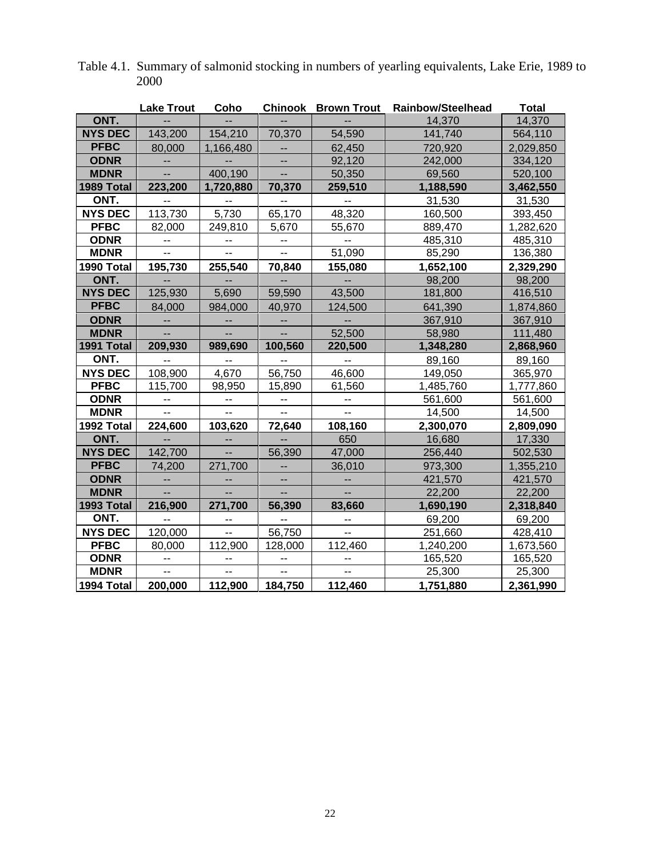|                | <b>Lake Trout</b> | Coho                     |                          | <b>Chinook Brown Trout</b> | <b>Rainbow/Steelhead</b> | <b>Total</b> |
|----------------|-------------------|--------------------------|--------------------------|----------------------------|--------------------------|--------------|
| ONT.           |                   |                          |                          |                            | 14,370                   | 14,370       |
| <b>NYS DEC</b> | 143,200           | 154,210                  | 70,370                   | 54,590                     | 141,740                  | 564,110      |
| <b>PFBC</b>    | 80,000            | 1,166,480                |                          | 62,450                     | 720,920                  | 2,029,850    |
| <b>ODNR</b>    |                   |                          |                          | 92,120                     | 242,000                  | 334,120      |
| <b>MDNR</b>    | ш,                | 400,190                  | Ш,                       | 50,350                     | 69,560                   | 520,100      |
| 1989 Total     | 223,200           | 1,720,880                | 70,370                   | 259,510                    | 1,188,590                | 3,462,550    |
| ONT.           |                   |                          |                          |                            | 31,530                   | 31,530       |
| <b>NYS DEC</b> | 113,730           | 5,730                    | 65,170                   | 48,320                     | 160,500                  | 393,450      |
| <b>PFBC</b>    | 82,000            | 249,810                  | 5,670                    | 55,670                     | 889,470                  | 1,282,620    |
| <b>ODNR</b>    | -−                | --                       | --                       | --                         | 485,310                  | 485,310      |
| <b>MDNR</b>    | --                | $\overline{a}$           | --                       | 51,090                     | 85,290                   | 136,380      |
| 1990 Total     | 195,730           | 255,540                  | 70,840                   | 155,080                    | 1,652,100                | 2,329,290    |
| ONT.           |                   |                          |                          |                            | 98,200                   | 98,200       |
| <b>NYS DEC</b> | 125,930           | 5,690                    | 59,590                   | 43,500                     | 181,800                  | 416,510      |
| <b>PFBC</b>    | 84,000            | 984,000                  | 40,970                   | 124,500                    | 641,390                  | 1,874,860    |
| <b>ODNR</b>    | --                | --                       | --                       |                            | 367,910                  | 367,910      |
| <b>MDNR</b>    |                   | $\overline{\phantom{a}}$ | $\overline{\phantom{a}}$ | 52,500                     | 58,980                   | 111,480      |
| 1991 Total     | 209,930           | 989,690                  | 100,560                  | 220,500                    | 1,348,280                | 2,868,960    |
| ONT.           |                   | $\overline{a}$           | $\overline{a}$           | --                         | 89,160                   | 89,160       |
| <b>NYS DEC</b> | 108,900           | 4,670                    | 56,750                   | 46,600                     | 149,050                  | 365,970      |
| <b>PFBC</b>    | 115,700           | 98,950                   | 15,890                   | 61,560                     | 1,485,760                | 1,777,860    |
| <b>ODNR</b>    | --                | --                       | --                       | --                         | 561,600                  | 561,600      |
| <b>MDNR</b>    | $\overline{a}$    | $\overline{a}$           | $\overline{a}$           | $\overline{\phantom{a}}$   | 14,500                   | 14,500       |
| 1992 Total     | 224,600           | 103,620                  | 72,640                   | 108,160                    | 2,300,070                | 2,809,090    |
| ONT.           |                   | $\overline{a}$           |                          | 650                        | 16,680                   | 17,330       |
| <b>NYS DEC</b> | 142,700           | Ш,                       | 56,390                   | 47,000                     | 256,440                  | 502,530      |
| <b>PFBC</b>    | 74,200            | 271,700                  | $\overline{a}$           | 36,010                     | 973,300                  | 1,355,210    |
| <b>ODNR</b>    | $\overline{a}$    | --                       | -−                       |                            | 421,570                  | 421,570      |
| <b>MDNR</b>    |                   | $\overline{a}$           | $\overline{a}$           |                            | 22,200                   | 22,200       |
| 1993 Total     | 216,900           | 271,700                  | 56,390                   | 83,660                     | 1,690,190                | 2,318,840    |
| ONT.           |                   | --                       |                          |                            | 69,200                   | 69,200       |
| <b>NYS DEC</b> | 120,000           | Ξ.                       | 56,750                   | Ш,                         | 251,660                  | 428,410      |
| <b>PFBC</b>    | 80,000            | 112,900                  | 128,000                  | 112,460                    | 1,240,200                | 1,673,560    |
| <b>ODNR</b>    |                   | $\overline{\phantom{a}}$ |                          |                            | 165,520                  | 165,520      |
| <b>MDNR</b>    | $- -$             | --                       | --                       | -−                         | 25,300                   | 25,300       |
| 1994 Total     | 200,000           | 112,900                  | 184,750                  | 112,460                    | 1,751,880                | 2,361,990    |

Table 4.1. Summary of salmonid stocking in numbers of yearling equivalents, Lake Erie, 1989 to 2000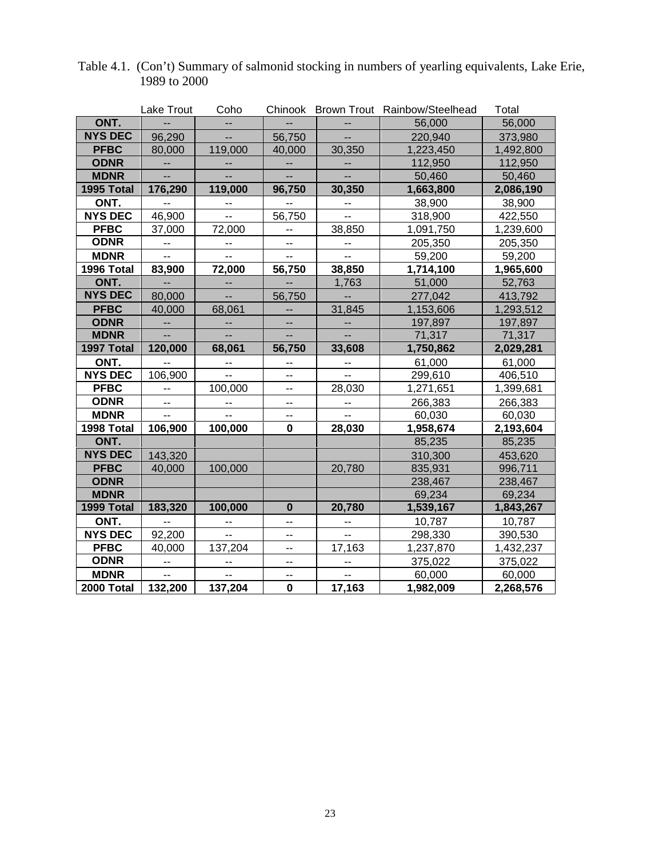|                | Lake Trout               | Coho           |                          |                          | Chinook Brown Trout Rainbow/Steelhead | Total     |
|----------------|--------------------------|----------------|--------------------------|--------------------------|---------------------------------------|-----------|
| ONT.           |                          |                |                          |                          | 56,000                                | 56,000    |
| <b>NYS DEC</b> | 96,290                   |                | 56,750                   |                          | 220,940                               | 373,980   |
| <b>PFBC</b>    | 80,000                   | 119,000        | 40,000                   | 30,350                   | 1,223,450                             | 1,492,800 |
| <b>ODNR</b>    |                          |                |                          |                          | 112,950                               | 112,950   |
| <b>MDNR</b>    | u.                       |                | u.                       | ш.,                      | 50,460                                | 50,460    |
| 1995 Total     | 176,290                  | 119,000        | 96,750                   | 30,350                   | 1,663,800                             | 2,086,190 |
| ONT.           | $\overline{a}$           | --             | -−                       | --                       | 38,900                                | 38,900    |
| <b>NYS DEC</b> | 46,900                   |                | 56,750                   | Ξ.                       | 318,900                               | 422,550   |
| <b>PFBC</b>    | 37,000                   | 72,000         | ۰.                       | 38,850                   | 1,091,750                             | 1,239,600 |
| <b>ODNR</b>    | $\overline{\phantom{a}}$ | --             | $\overline{\phantom{a}}$ | $\overline{\phantom{a}}$ | 205,350                               | 205,350   |
| <b>MDNR</b>    | $\overline{a}$           | $\overline{a}$ | $\overline{a}$           | $\overline{a}$           | 59,200                                | 59,200    |
| 1996 Total     | 83,900                   | 72,000         | 56,750                   | 38,850                   | 1,714,100                             | 1,965,600 |
| ONT.           | $\overline{a}$           |                |                          | 1,763                    | 51,000                                | 52,763    |
| <b>NYS DEC</b> | 80,000                   | --             | 56,750                   | Щ,                       | 277,042                               | 413,792   |
| <b>PFBC</b>    | 40,000                   | 68,061         | --                       | 31,845                   | 1,153,606                             | 1,293,512 |
| <b>ODNR</b>    | --                       | --             | --                       | --                       | 197,897                               | 197,897   |
| <b>MDNR</b>    | $\overline{a}$           |                | Ξ.                       | $\overline{a}$           | 71,317                                | 71,317    |
| 1997 Total     | 120,000                  | 68,061         | 56,750                   | 33,608                   | 1,750,862                             | 2,029,281 |
| ONT.           | $\overline{a}$           | --             | --                       | 44                       | 61,000                                | 61,000    |
| <b>NYS DEC</b> | 106,900                  | --             | --                       | Ξ.                       | 299,610                               | 406,510   |
| <b>PFBC</b>    | $\overline{\phantom{a}}$ | 100,000        | --                       | 28,030                   | 1,271,651                             | 1,399,681 |
| <b>ODNR</b>    | $\overline{\phantom{a}}$ | --             | --                       | 44                       | 266,383                               | 266,383   |
| <b>MDNR</b>    | $\overline{a}$           | $\overline{a}$ | $\overline{\phantom{a}}$ | $\overline{\phantom{a}}$ | 60,030                                | 60,030    |
| 1998 Total     | 106,900                  | 100,000        | $\mathbf 0$              | 28,030                   | 1,958,674                             | 2,193,604 |
| ONT.           |                          |                |                          |                          | 85,235                                | 85,235    |
| <b>NYS DEC</b> | 143,320                  |                |                          |                          | 310,300                               | 453,620   |
| <b>PFBC</b>    | 40,000                   | 100,000        |                          | 20,780                   | 835,931                               | 996,711   |
| <b>ODNR</b>    |                          |                |                          |                          | 238,467                               | 238,467   |
| <b>MDNR</b>    |                          |                |                          |                          | 69,234                                | 69,234    |
| 1999 Total     | 183,320                  | 100,000        | $\bf{0}$                 | 20,780                   | 1,539,167                             | 1,843,267 |
| ONT.           | $\overline{a}$           | -−             | Ш.                       | --                       | 10,787                                | 10,787    |
| <b>NYS DEC</b> | 92,200                   | $\overline{a}$ | $\overline{a}$           | $\overline{a}$           | 298,330                               | 390,530   |
| <b>PFBC</b>    | 40,000                   | 137,204        | --                       | 17,163                   | 1,237,870                             | 1,432,237 |
| <b>ODNR</b>    | --                       | --             | --                       | --                       | 375,022                               | 375,022   |
| <b>MDNR</b>    | $\overline{a}$           | $\overline{a}$ | --                       | --                       | 60,000                                | 60,000    |
| 2000 Total     | 132,200                  | 137,204        | $\mathbf 0$              | 17,163                   | 1,982,009                             | 2,268,576 |

| Table 4.1. (Con't) Summary of salmonid stocking in numbers of yearling equivalents, Lake Erie, |
|------------------------------------------------------------------------------------------------|
| 1989 to 2000                                                                                   |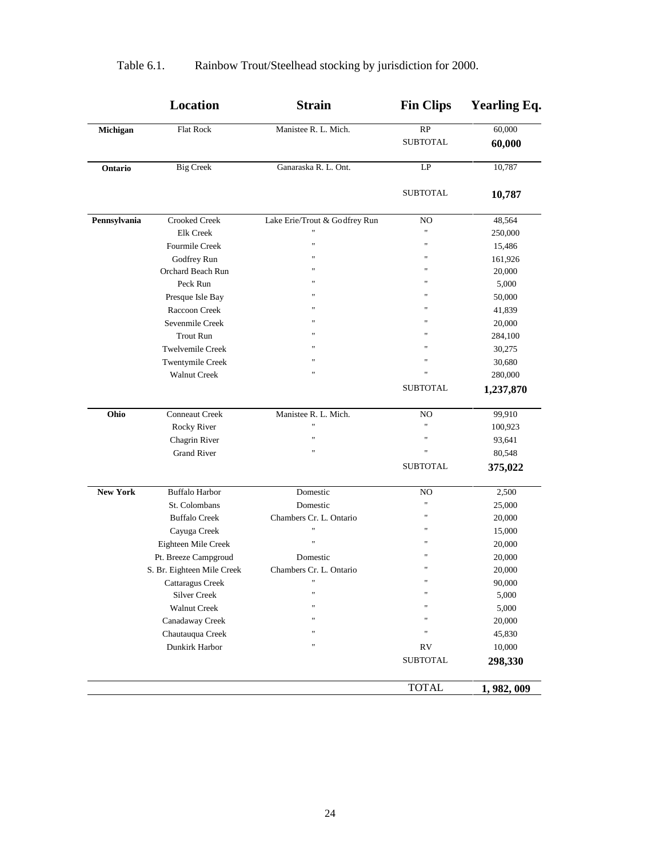|                 | Location                   | <b>Strain</b>                 | <b>Fin Clips</b>  | <b>Yearling Eq.</b> |
|-----------------|----------------------------|-------------------------------|-------------------|---------------------|
| Michigan        | <b>Flat Rock</b>           | Manistee R. L. Mich.          | $\overline{RP}$   | 60,000              |
|                 |                            |                               | <b>SUBTOTAL</b>   | 60,000              |
| Ontario         | <b>Big Creek</b>           | Ganaraska R. L. Ont.          | LP                | 10,787              |
|                 |                            |                               | <b>SUBTOTAL</b>   | 10,787              |
| Pennsylvania    | <b>Crooked Creek</b>       | Lake Erie/Trout & Godfrey Run | NO                | 48,564              |
|                 | <b>Elk Creek</b>           | 11                            | $^{\prime\prime}$ | 250,000             |
|                 | Fourmile Creek             | $^{\dagger}$                  | $\mathbf{u}$      | 15,486              |
|                 | Godfrey Run                | $\pmb{\mathfrak{m}}$          | $\mathbf{H}$      | 161,926             |
|                 | Orchard Beach Run          | $^{\dagger}$                  | $^{\prime}$       | 20,000              |
|                 | Peck Run                   | $^{\dagger}$                  | $^{\prime}$       | 5,000               |
|                 | Presque Isle Bay           | $^{\dagger}$                  | $^{\prime}$       | 50,000              |
|                 | Raccoon Creek              | $^{\dagger}$                  | $^{\prime}$       | 41,839              |
|                 | Sevenmile Creek            | $^{\dagger}$                  | $^{\prime}$       | 20,000              |
|                 | <b>Trout Run</b>           | $^{\dagger}$                  | $^{\prime}$       | 284,100             |
|                 | <b>Twelvemile Creek</b>    | $^{\dagger}$                  | Ħ                 | 30,275              |
|                 | Twentymile Creek           | Ħ                             | Ħ                 | 30,680              |
|                 | <b>Walnut Creek</b>        | $^{\dagger}$                  | $^{\prime}$       | 280,000             |
|                 |                            |                               | <b>SUBTOTAL</b>   | 1,237,870           |
| Ohio            | Conneaut Creek             | Manistee R. L. Mich.          | NO                | 99,910              |
|                 | Rocky River                | $^{\dagger}$                  | $^{\rm{1}}$       | 100,923             |
|                 | Chagrin River              |                               | Ħ                 | 93,641              |
|                 | <b>Grand River</b>         |                               | $\blacksquare$    | 80,548              |
|                 |                            |                               | <b>SUBTOTAL</b>   | 375,022             |
| <b>New York</b> | <b>Buffalo Harbor</b>      | Domestic                      | NO                | 2,500               |
|                 | St. Colombans              | Domestic                      | $\mathbf{H}$      | 25,000              |
|                 | <b>Buffalo Creek</b>       | Chambers Cr. L. Ontario       | $\blacksquare$    | 20,000              |
|                 | Cayuga Creek               | $^{\dagger}$                  | $\mathbf{H}$      | 15,000              |
|                 | Eighteen Mile Creek        | Ħ                             | $^{\prime}$       | 20,000              |
|                 | Pt. Breeze Campgroud       | Domestic                      | $^{\prime}$       | 20,000              |
|                 | S. Br. Eighteen Mile Creek | Chambers Cr. L. Ontario       | $^{\prime}$       | 20,000              |
|                 | Cattaragus Creek           | $\pmb{\mathsf{H}}$            | $^{\rm H}$        | 90,000              |
|                 | <b>Silver Creek</b>        | $^{\dagger}$                  | $\blacksquare$    | 5,000               |
|                 | <b>Walnut Creek</b>        |                               | $^{\prime}$       | 5,000               |
|                 | Canadaway Creek            |                               | $^{\prime}$       | 20,000              |
|                 | Chautauqua Creek           |                               | $\blacksquare$    | 45,830              |
|                 | Dunkirk Harbor             |                               | <b>RV</b>         | 10,000              |
|                 |                            |                               | <b>SUBTOTAL</b>   | 298,330             |
|                 |                            |                               | <b>TOTAL</b>      | 1, 982, 009         |

# Table 6.1. Rainbow Trout/Steelhead stocking by jurisdiction for 2000.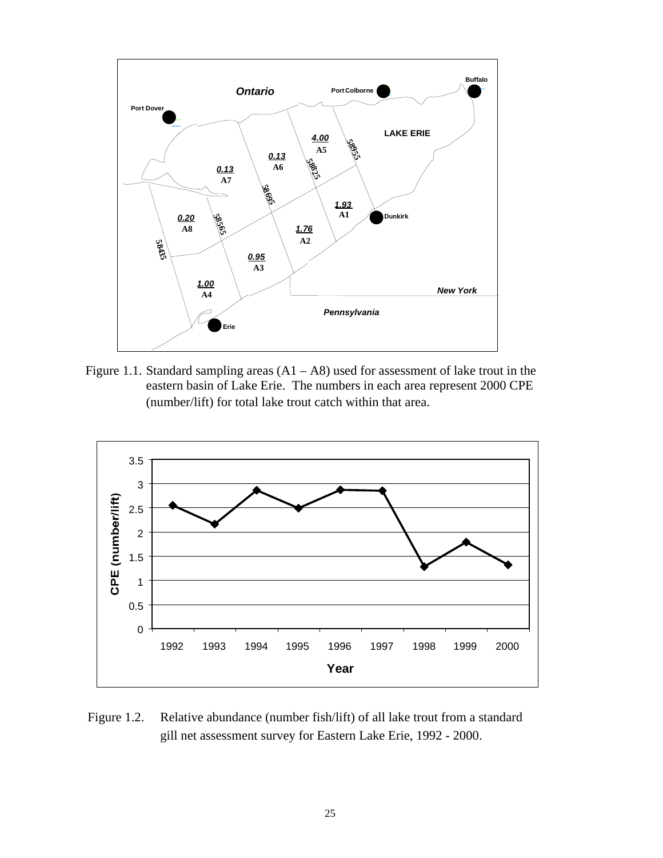

Figure 1.1. Standard sampling areas  $(A1 - A8)$  used for assessment of lake trout in the eastern basin of Lake Erie. The numbers in each area represent 2000 CPE (number/lift) for total lake trout catch within that area.



Figure 1.2. Relative abundance (number fish/lift) of all lake trout from a standard gill net assessment survey for Eastern Lake Erie, 1992 - 2000.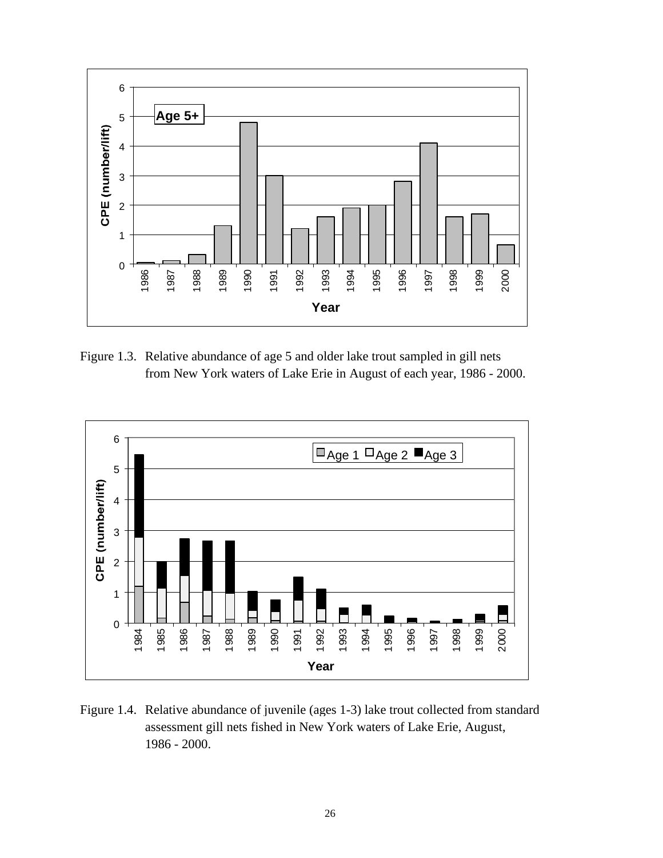

Figure 1.3. Relative abundance of age 5 and older lake trout sampled in gill nets from New York waters of Lake Erie in August of each year, 1986 - 2000.



Figure 1.4. Relative abundance of juvenile (ages 1-3) lake trout collected from standard assessment gill nets fished in New York waters of Lake Erie, August, 1986 - 2000.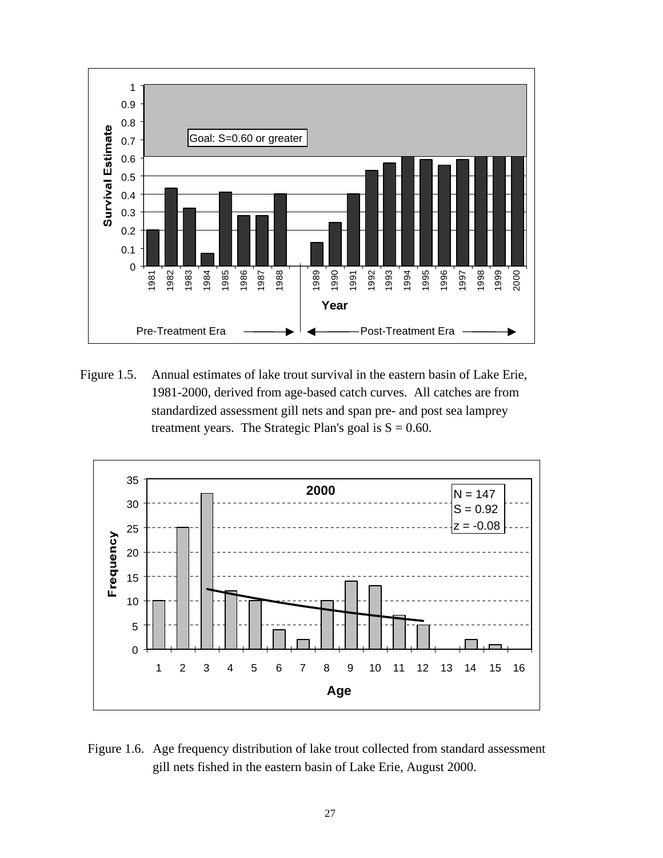

Figure 1.5. Annual estimates of lake trout survival in the eastern basin of Lake Erie, 1981-2000, derived from age-based catch curves. All catches are from standardized assessment gill nets and span pre- and post sea lamprey treatment years. The Strategic Plan's goal is  $S = 0.60$ .



Figure 1.6. Age frequency distribution of lake trout collected from standard assessment gill nets fished in the eastern basin of Lake Erie, August 2000.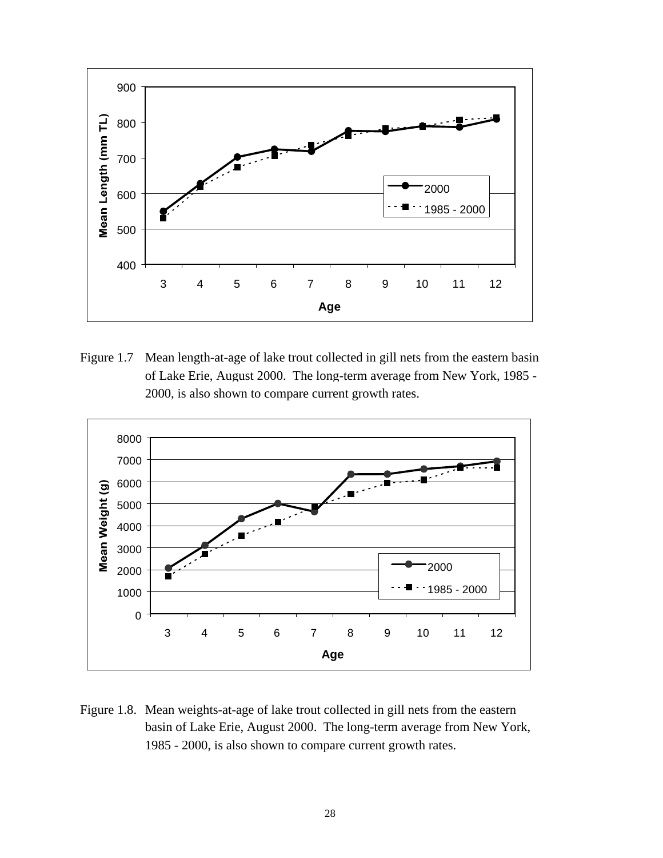

Figure 1.7 Mean length-at-age of lake trout collected in gill nets from the eastern basin of Lake Erie, August 2000. The long-term average from New York, 1985 - 2000, is also shown to compare current growth rates.



Figure 1.8. Mean weights-at-age of lake trout collected in gill nets from the eastern basin of Lake Erie, August 2000. The long-term average from New York, 1985 - 2000, is also shown to compare current growth rates.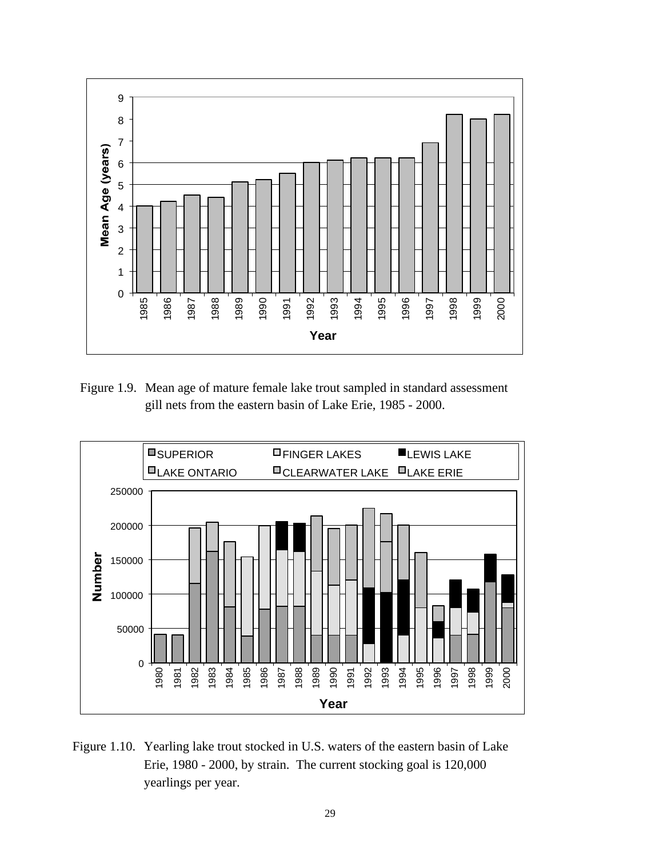

Figure 1.9. Mean age of mature female lake trout sampled in standard assessment gill nets from the eastern basin of Lake Erie, 1985 - 2000.



Figure 1.10. Yearling lake trout stocked in U.S. waters of the eastern basin of Lake Erie, 1980 - 2000, by strain. The current stocking goal is 120,000 yearlings per year.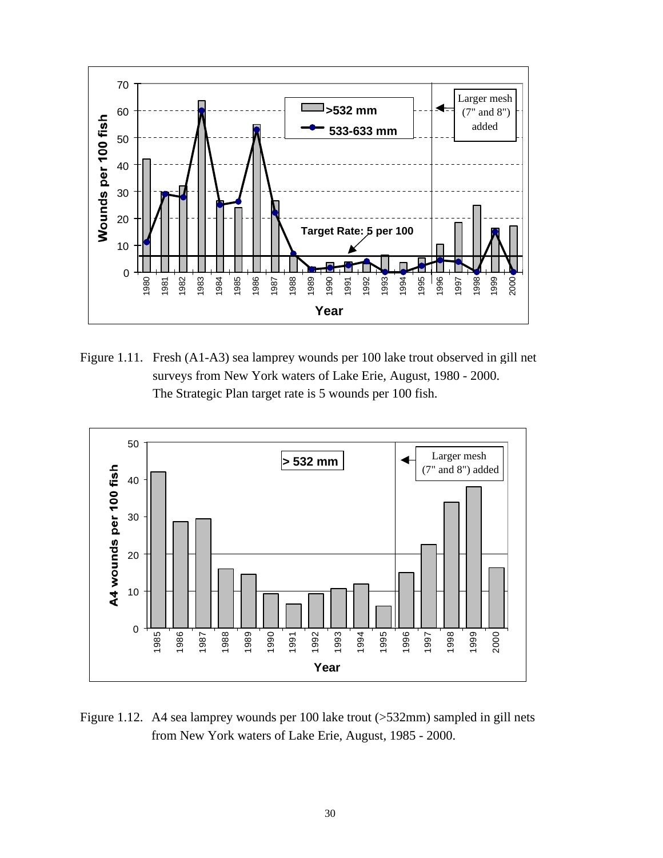

Figure 1.11. Fresh (A1-A3) sea lamprey wounds per 100 lake trout observed in gill net surveys from New York waters of Lake Erie, August, 1980 - 2000. The Strategic Plan target rate is 5 wounds per 100 fish.



Figure 1.12. A4 sea lamprey wounds per 100 lake trout (>532mm) sampled in gill nets from New York waters of Lake Erie, August, 1985 - 2000.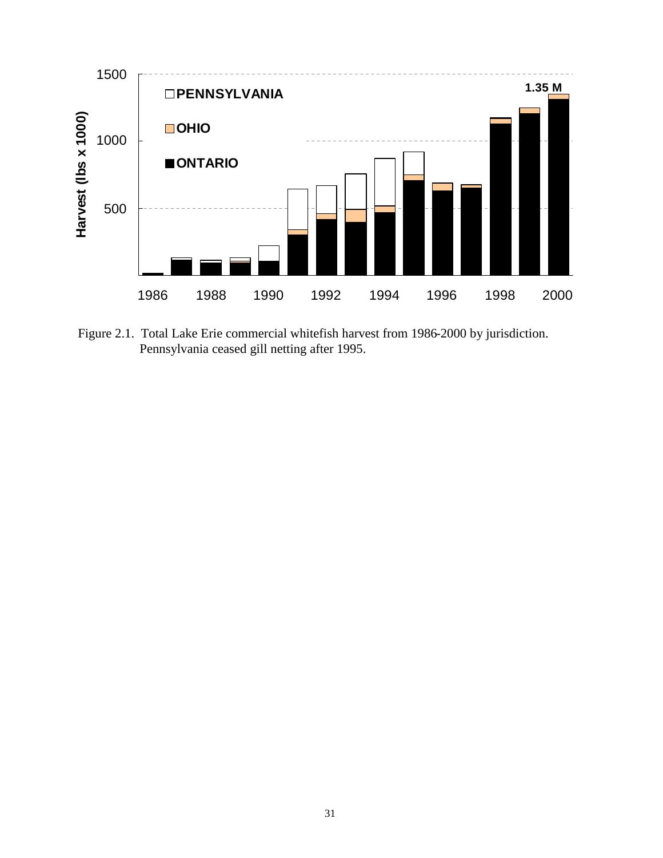

Figure 2.1. Total Lake Erie commercial whitefish harvest from 1986-2000 by jurisdiction. Pennsylvania ceased gill netting after 1995.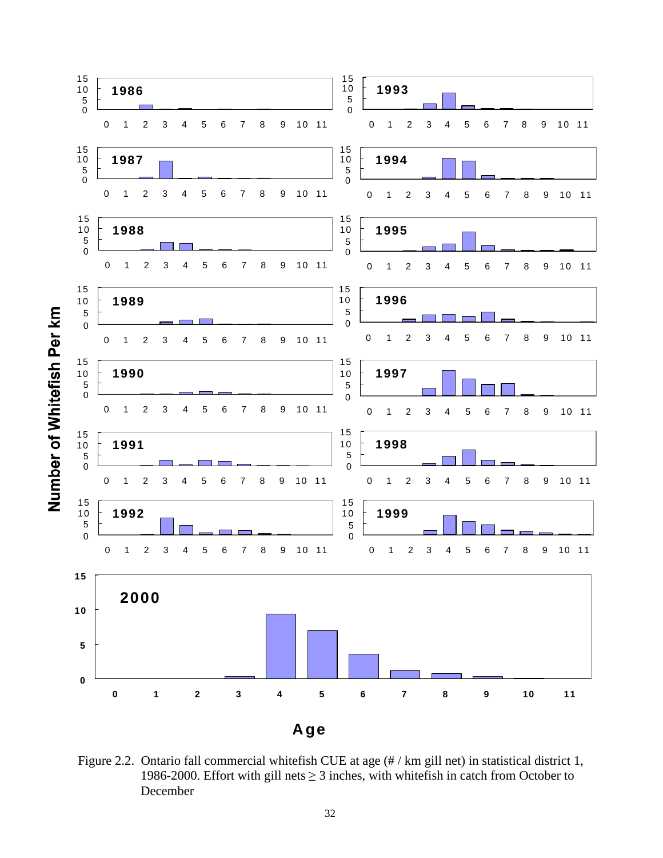

Figure 2.2. Ontario fall commercial whitefish CUE at age  $(\# / km)$  gill net) in statistical district 1, 1986-2000. Effort with gill nets  $\geq$  3 inches, with whitefish in catch from October to December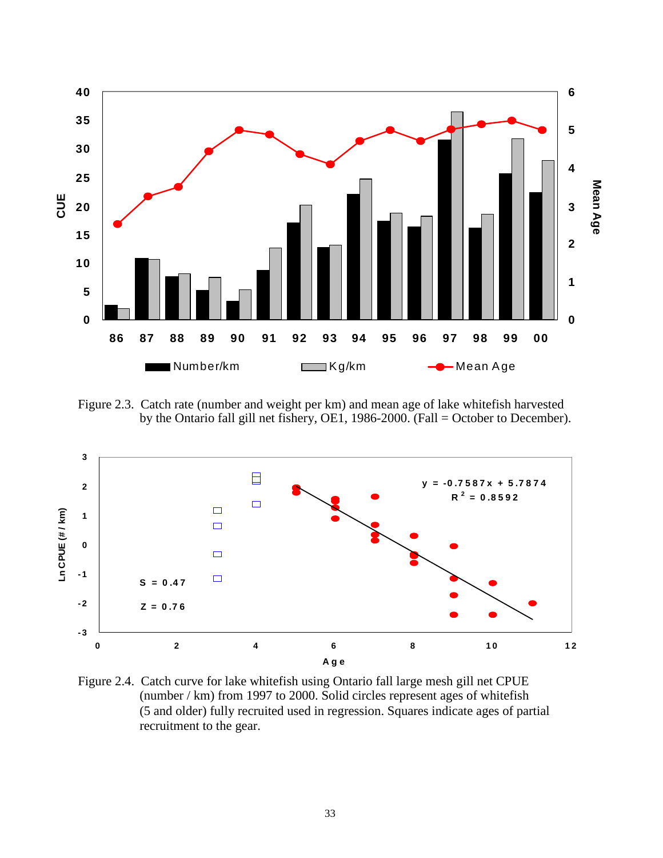

Figure 2.3. Catch rate (number and weight per km) and mean age of lake whitefish harvested by the Ontario fall gill net fishery, OE1, 1986-2000. (Fall = October to December).



Figure 2.4. Catch curve for lake whitefish using Ontario fall large mesh gill net CPUE (number / km) from 1997 to 2000. Solid circles represent ages of whitefish (5 and older) fully recruited used in regression. Squares indicate ages of partial recruitment to the gear.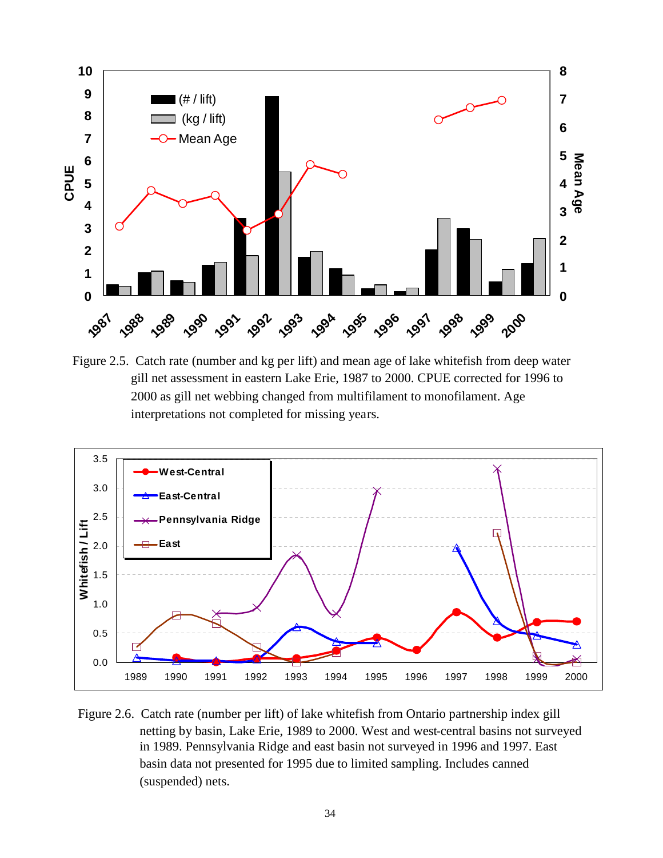

Figure 2.5. Catch rate (number and kg per lift) and mean age of lake whitefish from deep water gill net assessment in eastern Lake Erie, 1987 to 2000. CPUE corrected for 1996 to 2000 as gill net webbing changed from multifilament to monofilament. Age interpretations not completed for missing years.



Figure 2.6. Catch rate (number per lift) of lake whitefish from Ontario partnership index gill netting by basin, Lake Erie, 1989 to 2000. West and west-central basins not surveyed in 1989. Pennsylvania Ridge and east basin not surveyed in 1996 and 1997. East basin data not presented for 1995 due to limited sampling. Includes canned (suspended) nets.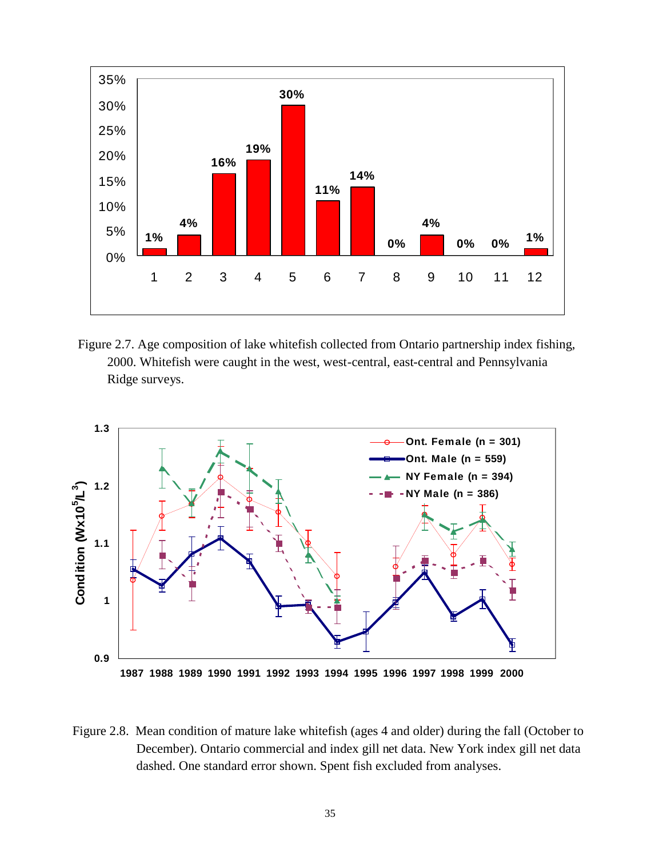

Figure 2.7. Age composition of lake whitefish collected from Ontario partnership index fishing, 2000. Whitefish were caught in the west, west-central, east-central and Pennsylvania Ridge surveys.



Figure 2.8. Mean condition of mature lake whitefish (ages 4 and older) during the fall (October to December). Ontario commercial and index gill net data. New York index gill net data dashed. One standard error shown. Spent fish excluded from analyses.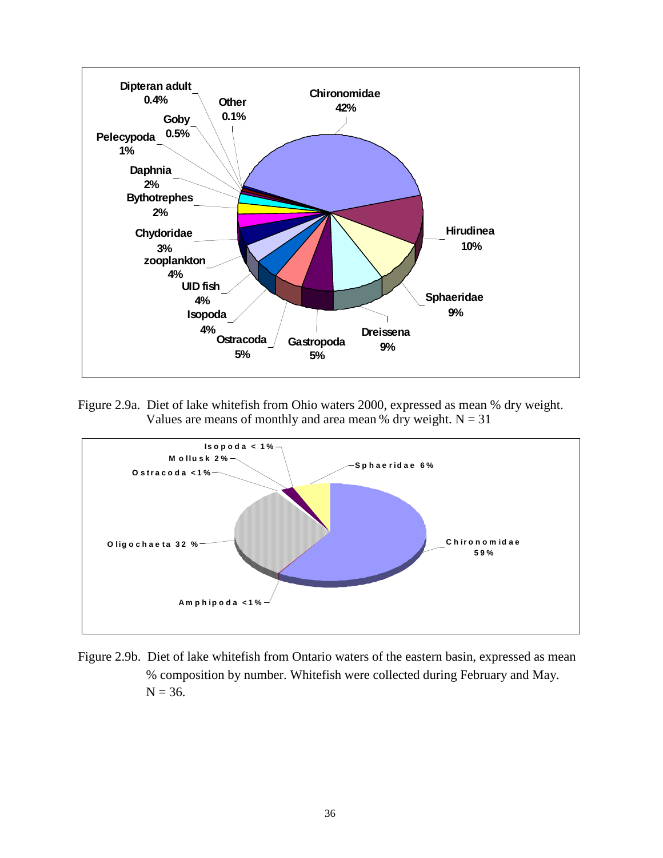

Figure 2.9a. Diet of lake whitefish from Ohio waters 2000, expressed as mean % dry weight. Values are means of monthly and area mean % dry weight.  $N = 31$ 



Figure 2.9b. Diet of lake whitefish from Ontario waters of the eastern basin, expressed as mean % composition by number. Whitefish were collected during February and May.  $N = 36$ .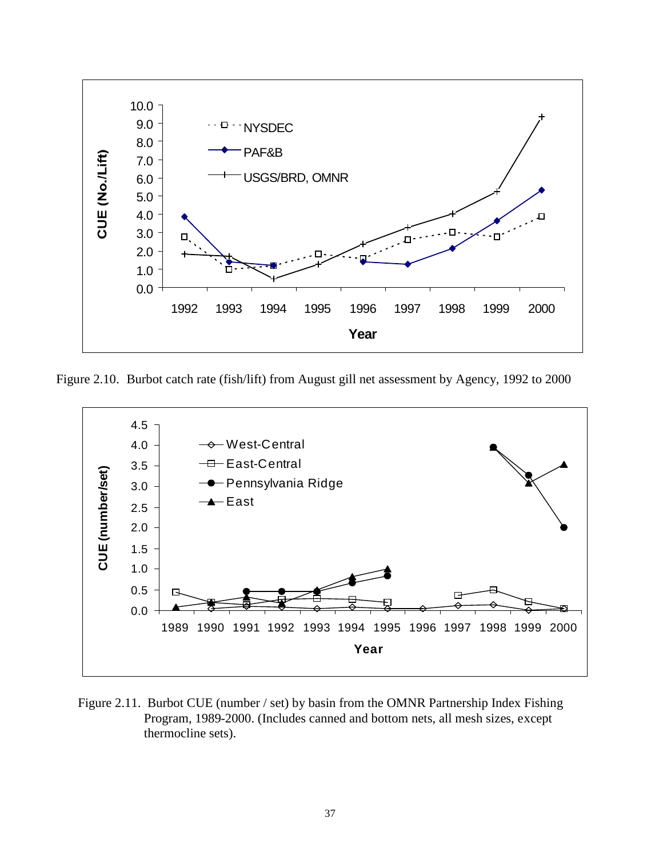

Figure 2.10. Burbot catch rate (fish/lift) from August gill net assessment by Agency, 1992 to 2000



Figure 2.11. Burbot CUE (number / set) by basin from the OMNR Partnership Index Fishing Program, 1989-2000. (Includes canned and bottom nets, all mesh sizes, except thermocline sets).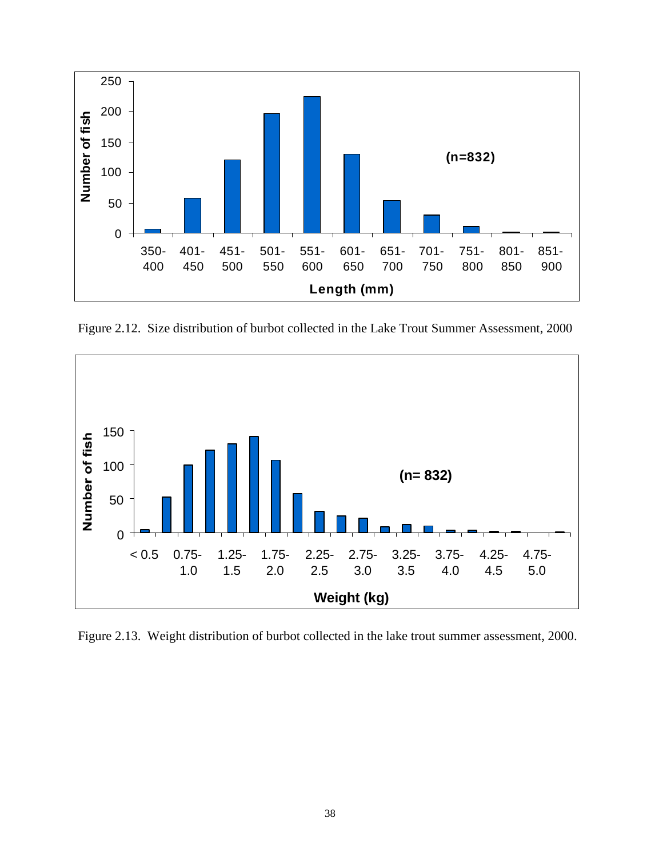

Figure 2.12. Size distribution of burbot collected in the Lake Trout Summer Assessment, 2000



Figure 2.13. Weight distribution of burbot collected in the lake trout summer assessment, 2000.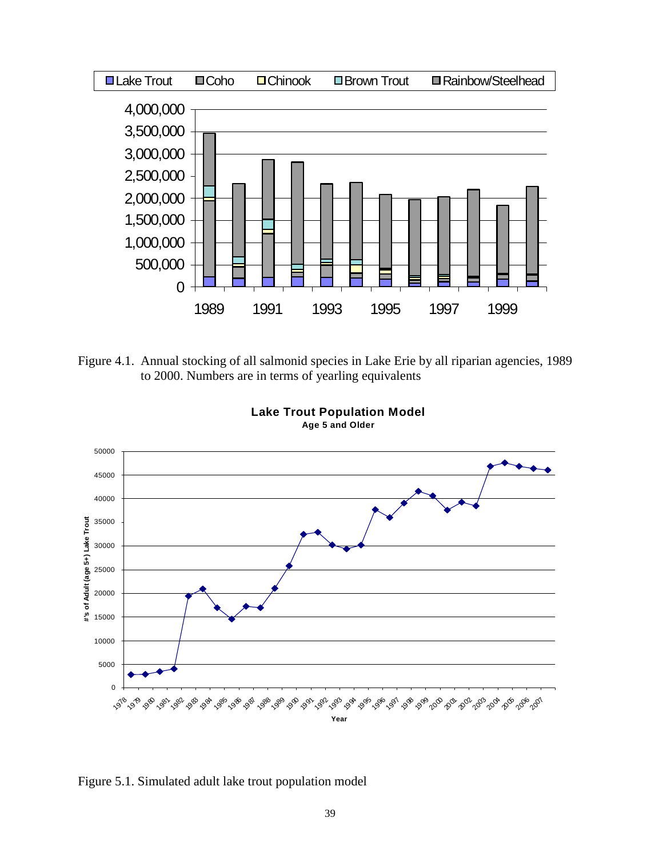

Figure 4.1. Annual stocking of all salmonid species in Lake Erie by all riparian agencies, 1989 to 2000. Numbers are in terms of yearling equivalents



**Lake Trout Population Model Age 5 and Older**

Figure 5.1. Simulated adult lake trout population model